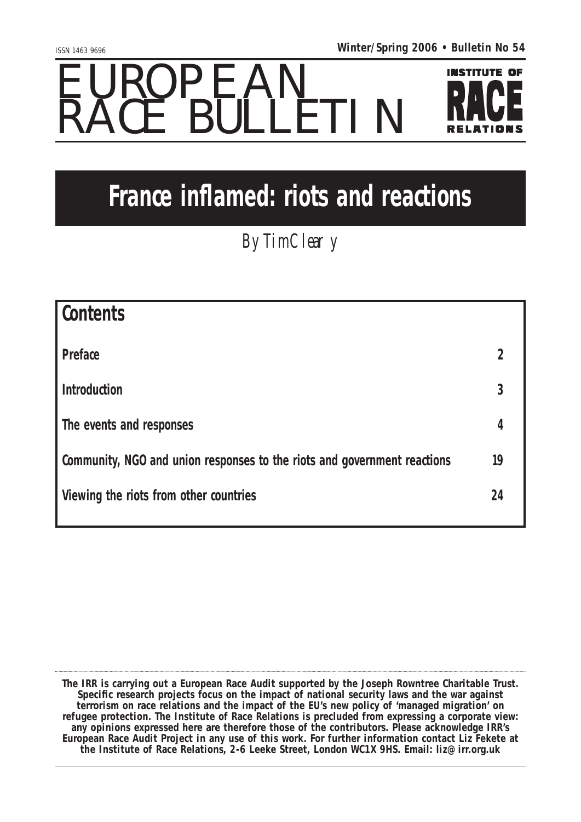## EUROPEAN RACE BULLETIN



## **France inflamed: riots and reactions**

**By Tim Cleary** 

| <b>Contents</b>                                                          |    |
|--------------------------------------------------------------------------|----|
| <b>Preface</b>                                                           | 2  |
| <b>Introduction</b>                                                      | 3  |
| The events and responses                                                 | 4  |
| Community, NGO and union responses to the riots and government reactions | 19 |
| <b>Viewing the riots from other countries</b>                            | 24 |
|                                                                          |    |

**The IRR is carrying out a European Race Audit supported by the Joseph Rowntree Charitable Trust. Specific research projects focus on the impact of national security laws and the war against terrorism on race relations and the impact of the EU's new policy of 'managed migration' on refugee protection. The Institute of Race Relations is precluded from expressing a corporate view: any opinions expressed here are therefore those of the contributors. Please acknowledge IRR's European Race Audit Project in any use of this work. For further information contact Liz Fekete at the Institute of Race Relations, 2-6 Leeke Street, London WC1X 9HS. Email: liz@irr.org.uk**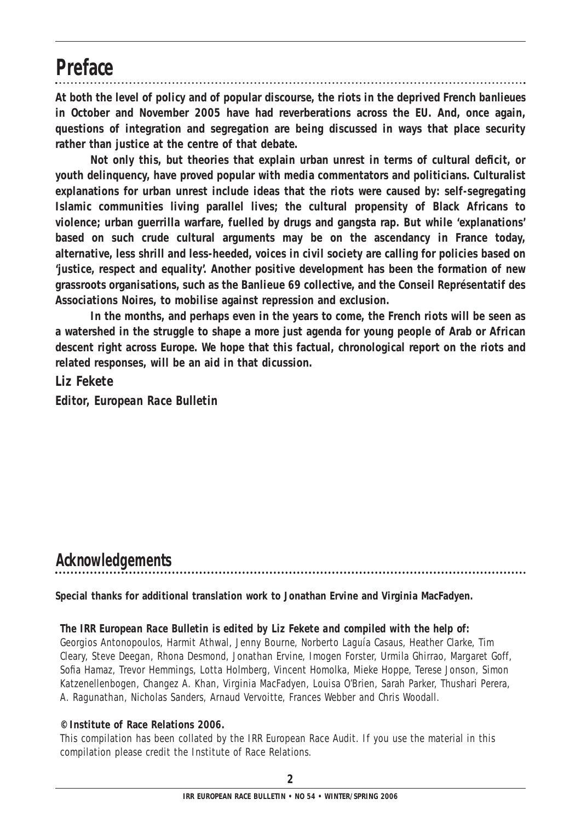#### **Preface**

**At both the level of policy and of popular discourse, the riots in the deprived French** *banlieues* **in October and November 2005 have had reverberations across the EU. And, once again, questions of integration and segregation are being discussed in ways that place security rather than justice at the centre of that debate.**

**Not only this, but theories that explain urban unrest in terms of cultural deficit, or youth delinquency, have proved popular with media commentators and politicians. Culturalist explanations for urban unrest include ideas that the riots were caused by: self-segregating Islamic communities living parallel lives; the cultural propensity of Black Africans to violence; urban guerrilla warfare, fuelled by drugs and gangsta rap. But while 'explanations' based on such crude cultural arguments may be on the ascendancy in France today, alternative, less shrill and less-heeded, voices in civil society are calling for policies based on 'justice, respect and equality'. Another positive development has been the formation of new grassroots organisations, such as the Banlieue 69 collective, and the Conseil Représentatif des Associations Noires, to mobilise against repression and exclusion.**

**In the months, and perhaps even in the years to come, the French riots will be seen as a watershed in the struggle to shape a more just agenda for young people of Arab or African descent right across Europe. We hope that this factual, chronological report on the riots and related responses, will be an aid in that dicussion.**

*Liz Fekete Editor, European Race Bulletin*

#### **Acknowledgements**

**Special thanks for additional translation work to Jonathan Ervine and Virginia MacFadyen.**

#### *The IRR European Race Bulletin is edited by Liz Fekete and compiled with the help of:*

Georgios Antonopoulos, Harmit Athwal, Jenny Bourne, Norberto Laguía Casaus, Heather Clarke, Tim Cleary, Steve Deegan, Rhona Desmond, Jonathan Ervine, Imogen Forster, Urmila Ghirrao, Margaret Goff, Sofia Hamaz, Trevor Hemmings, Lotta Holmberg, Vincent Homolka, Mieke Hoppe, Terese Jonson, Simon Katzenellenbogen, Changez A. Khan, Virginia MacFadyen, Louisa O'Brien, Sarah Parker, Thushari Perera, A. Ragunathan, Nicholas Sanders, Arnaud Vervoitte, Frances Webber and Chris Woodall.

#### **© Institute of Race Relations 2006.**

This compilation has been collated by the IRR European Race Audit. If you use the material in this compilation please credit the Institute of Race Relations.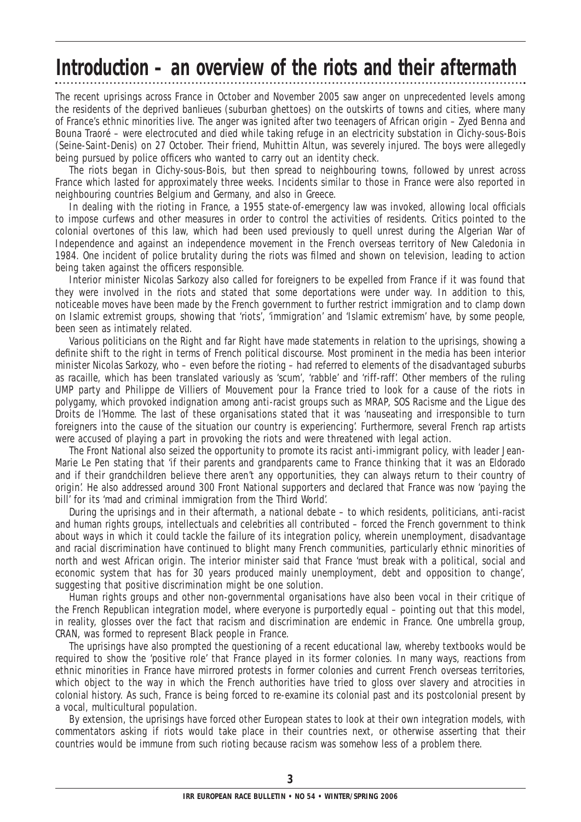## **Introduction – an overview of the riots and their aftermath**

The recent uprisings across France in October and November 2005 saw anger on unprecedented levels among the residents of the deprived *banlieues* (suburban ghettoes) on the outskirts of towns and cities, where many of France's ethnic minorities live. The anger was ignited after two teenagers of African origin – Zyed Benna and Bouna Traoré – were electrocuted and died while taking refuge in an electricity substation in Clichy-sous-Bois (Seine-Saint-Denis) on 27 October. Their friend, Muhittin Altun, was severely injured. The boys were allegedly being pursued by police officers who wanted to carry out an identity check.

The riots began in Clichy-sous-Bois, but then spread to neighbouring towns, followed by unrest across France which lasted for approximately three weeks. Incidents similar to those in France were also reported in neighbouring countries Belgium and Germany, and also in Greece.

In dealing with the rioting in France, a 1955 state-of-emergency law was invoked, allowing local officials to impose curfews and other measures in order to control the activities of residents. Critics pointed to the colonial overtones of this law, which had been used previously to quell unrest during the Algerian War of Independence and against an independence movement in the French overseas territory of New Caledonia in 1984. One incident of police brutality during the riots was filmed and shown on television, leading to action being taken against the officers responsible.

Interior minister Nicolas Sarkozy also called for foreigners to be expelled from France if it was found that they were involved in the riots and stated that some deportations were under way. In addition to this, noticeable moves have been made by the French government to further restrict immigration and to clamp down on Islamic extremist groups, showing that 'riots', 'immigration' and 'Islamic extremism' have, by some people, been seen as intimately related.

Various politicians on the Right and far Right have made statements in relation to the uprisings, showing a definite shift to the right in terms of French political discourse. Most prominent in the media has been interior minister Nicolas Sarkozy, who – even before the rioting – had referred to elements of the disadvantaged suburbs as *racaille*, which has been translated variously as 'scum', 'rabble' and 'riff-raff'. Other members of the ruling UMP party and Philippe de Villiers of Mouvement pour la France tried to look for a cause of the riots in polygamy, which provoked indignation among anti-racist groups such as MRAP, SOS Racisme and the Ligue des Droits de l'Homme. The last of these organisations stated that it was 'nauseating and irresponsible to turn foreigners into the cause of the situation our country is experiencing'. Furthermore, several French rap artists were accused of playing a part in provoking the riots and were threatened with legal action.

The Front National also seized the opportunity to promote its racist anti-immigrant policy, with leader Jean-Marie Le Pen stating that 'if their parents and grandparents came to France thinking that it was an Eldorado and if their grandchildren believe there aren't any opportunities, they can always return to their country of origin'. He also addressed around 300 Front National supporters and declared that France was now 'paying the bill' for its 'mad and criminal immigration from the Third World'.

During the uprisings and in their aftermath, a national debate – to which residents, politicians, anti-racist and human rights groups, intellectuals and celebrities all contributed – forced the French government to think about ways in which it could tackle the failure of its integration policy, wherein unemployment, disadvantage and racial discrimination have continued to blight many French communities, particularly ethnic minorities of north and west African origin. The interior minister said that France 'must break with a political, social and economic system that has for 30 years produced mainly unemployment, debt and opposition to change', suggesting that positive discrimination might be one solution.

Human rights groups and other non-governmental organisations have also been vocal in their critique of the French Republican integration model, where everyone is purportedly equal – pointing out that this model, in reality, glosses over the fact that racism and discrimination are endemic in France. One umbrella group, CRAN, was formed to represent Black people in France.

The uprisings have also prompted the questioning of a recent educational law, whereby textbooks would be required to show the 'positive role' that France played in its former colonies. In many ways, reactions from ethnic minorities in France have mirrored protests in former colonies and current French overseas territories, which object to the way in which the French authorities have tried to gloss over slavery and atrocities in colonial history. As such, France is being forced to re-examine its colonial past and its postcolonial present by a vocal, multicultural population.

By extension, the uprisings have forced other European states to look at their own integration models, with commentators asking if riots would take place in their countries next, or otherwise asserting that their countries would be immune from such rioting because racism was somehow less of a problem there.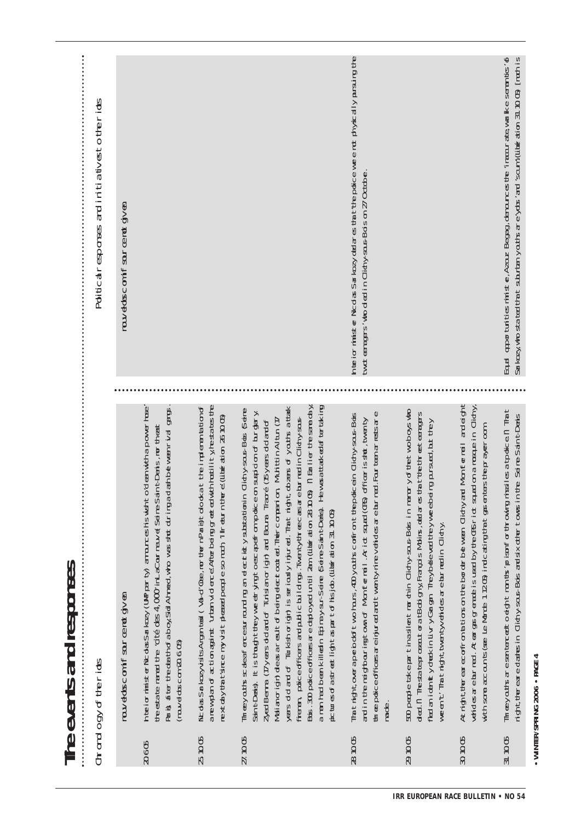• WINTER/SPRING 2006 • PAGE 4 **WINTER/SPRING 2006 • PAGE 4**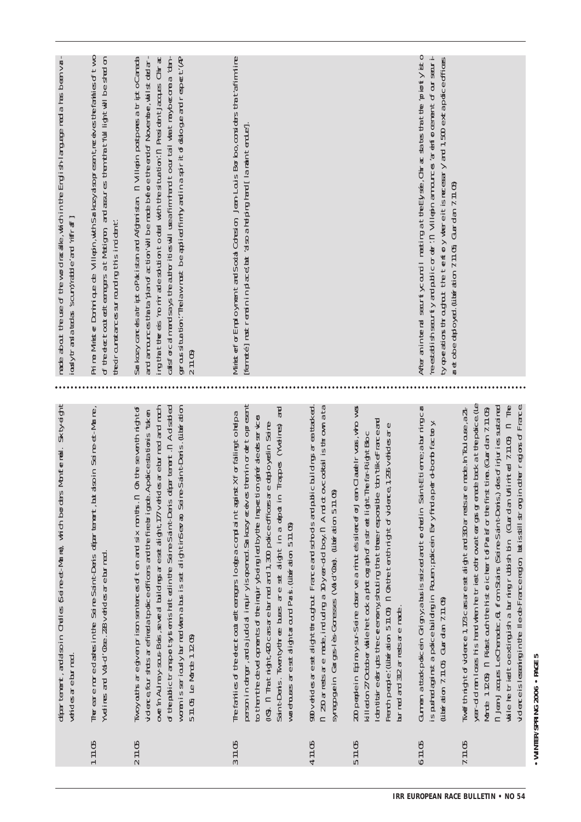| made about the use of the word racalle, which in the English-larguage media has been von-<br>$\lfloor\frac{B}{2}\rfloor$ , $\lfloor\frac{B}{2}\rfloor$ , $\lfloor\frac{B}{2}\rfloor$ , $\lfloor\frac{B}{2}\rfloor$ , $\lfloor\frac{B}{2}\rfloor$ , $\lfloor\frac{B}{2}\rfloor$ | Prime Minister Dominique de Villepin, with Sarkozyalsopresent me eives the families of two<br>of the elect cout of teeragers at Matigron and asures then that full light will be shad on<br>tedramstancessrrauding this indident | alsforcalmand says the authorities will use afilm hand to our tail what may become a 'dan-<br>genous attack (help); helaw must be applied fimily and in a spirit of dato generate (help 211.05)<br>211.05)<br>Sarkozy carcesatripto Pakistan ard Afgaristan in Villepin postpores a tripto Canada<br>ing that the els 'ro nir ade solution to del with the situation'.n President Jacques Chirac<br>and amounces that a plan of action will be made before the end of November, whilst ded an                      | vlinisterForEmploymentandSodalCdrealon, Jan-LouisBorbo,considers that tafimiline<br>[Famete]mustremainplace, but also a halping hand [lamaintendue].                                                                                                                                                                                                                                                                                                                                                                                          |                                                                                                                                                                                                                                      |                                                                                                                                                                                                                                                                                                                                                                                                    | reestal ish security and public order in Villien amounces are enforcement of our securi-<br>After an internal search yournal meeting at the Elysse, Chinara seates that the 'priothy isto<br>ty opeations throughout the tentory where it is necessary and 1,500 extrapolice offices<br>aret obe dedoyed. (山廊 dion 7.11.05 Guardan 7.11.05) |                                                                                                                                                                                                                                                                                                                                                                                                                                                                                                                                          |  |
|--------------------------------------------------------------------------------------------------------------------------------------------------------------------------------------------------------------------------------------------------------------------------------|----------------------------------------------------------------------------------------------------------------------------------------------------------------------------------------------------------------------------------|--------------------------------------------------------------------------------------------------------------------------------------------------------------------------------------------------------------------------------------------------------------------------------------------------------------------------------------------------------------------------------------------------------------------------------------------------------------------------------------------------------------------|-----------------------------------------------------------------------------------------------------------------------------------------------------------------------------------------------------------------------------------------------------------------------------------------------------------------------------------------------------------------------------------------------------------------------------------------------------------------------------------------------------------------------------------------------|--------------------------------------------------------------------------------------------------------------------------------------------------------------------------------------------------------------------------------------|----------------------------------------------------------------------------------------------------------------------------------------------------------------------------------------------------------------------------------------------------------------------------------------------------------------------------------------------------------------------------------------------------|---------------------------------------------------------------------------------------------------------------------------------------------------------------------------------------------------------------------------------------------------------------------------------------------------------------------------------------------|------------------------------------------------------------------------------------------------------------------------------------------------------------------------------------------------------------------------------------------------------------------------------------------------------------------------------------------------------------------------------------------------------------------------------------------------------------------------------------------------------------------------------------------|--|
|                                                                                                                                                                                                                                                                                |                                                                                                                                                                                                                                  |                                                                                                                                                                                                                                                                                                                                                                                                                                                                                                                    |                                                                                                                                                                                                                                                                                                                                                                                                                                                                                                                                               |                                                                                                                                                                                                                                      |                                                                                                                                                                                                                                                                                                                                                                                                    |                                                                                                                                                                                                                                                                                                                                             |                                                                                                                                                                                                                                                                                                                                                                                                                                                                                                                                          |  |
| departement, andasoin Chelles §eine-et-Mane), which borders Monffermell. Skity-eight<br><b>Vendesarebuned</b>                                                                                                                                                                  | The eare more dashs in the Seine-Sain t-Deris departement, jutadsoin Seine-et-Marne,<br>Melines and Val-d'Ose. 228 verides are burned                                                                                            | on the seven thingh to $\sigma$<br>of the public transport ty stemisted that the Seline-Saint-Deris department. In Ad sad ed<br>womanisseriouslyburnedwhenabusissetalightinSevan, Seine-Saint-Dens. (Libération<br>overin Autray-scus-Bois, seve at buildrogsare set alight 177 verides are burned and much<br>videre four stots arefilied a to dice officers and the file brigate. Applices at tonis "treet<br>$M$ and $\alpha$ are given prison senteres of ten and six non ths. $n$<br>5 11.05 Le Monde 1 1205) | teninordertopesent<br><b>PR</b><br>The faillies of the electrocat of the rapper looppa complaint applications X For failing to hap a<br>to them the developments of the inquiry being lead by the lingue tion generatedes services<br>(G) n Thatright420 casare burned and 1,300 police officersare dedo yed in Seine-<br>Trapes (Melines)<br>person in darger, and a judical inquiryis opered. Sarko zyre elves<br>SaintDens. Twenty-three buses are set alight in a depot in<br>warehouses are set alightaround Paris. (Literation 5.11.05) | n 20 arressare made, indudng a 10-year-dolboy.n Amdotov.cookal is thrown a ta<br>900 verides are set align throughout France and schools and public buildings are at that ed.<br>Syrapgein Garge-ie-Goresses (Vad'Ose) (直角岩on 51105) | 200 perplein Epiray-ar-Seire dosarve aninutessilere efforchandladelno as, who was<br>ton tike Frace and<br>French people: (Literation 511.05) in On the tenthing into officere 1,255 vehicles are<br>killed on 27 Octber while he took a photograph of a street light The far-Right Bloc<br>ldentiaredus the ceremony shouling that those responsible<br>$\Delta r$ red and 312 ar rests are made. | Gumen attak policein Grigny, abusisseized and torded in SantEtieme; abuningca<br>spusted against a police building in Routen; policein Evry find a per ol bomb factory<br>(jiteration 7.11.05 Guardan 7.11.05)                                                                                                                              | year-dolman loses his hardwhen he triest o throwat earges greate back at the police (Le<br>while he tried to exting is a burning rubish bin (Guardan Urlimited 7.11.05) in The<br>n Jan-Jaaps LeChenader, 6, from States (seine-Saint-Deris) descriinuries sustained<br>dter regions of France<br>TweffhrightdFvidence 1, TBcarsaresetalight and 330 anrestsare made. hTculouse, a21-<br>Morte 1.205) n Rictado the historicher to Paisfor the first time. (Glandan 7.1105)<br>ddeceislessinginte llece-Franceregion butisstill strongin |  |
|                                                                                                                                                                                                                                                                                | 11105                                                                                                                                                                                                                            | 21105                                                                                                                                                                                                                                                                                                                                                                                                                                                                                                              | 37105                                                                                                                                                                                                                                                                                                                                                                                                                                                                                                                                         | 47105                                                                                                                                                                                                                                | 511.05                                                                                                                                                                                                                                                                                                                                                                                             | 611.05                                                                                                                                                                                                                                                                                                                                      | $7.11 \times$                                                                                                                                                                                                                                                                                                                                                                                                                                                                                                                            |  |

• WINTER/SPRING 2006 • PAGE 5 **WINTER/SPRING 2006 • PAGE 5**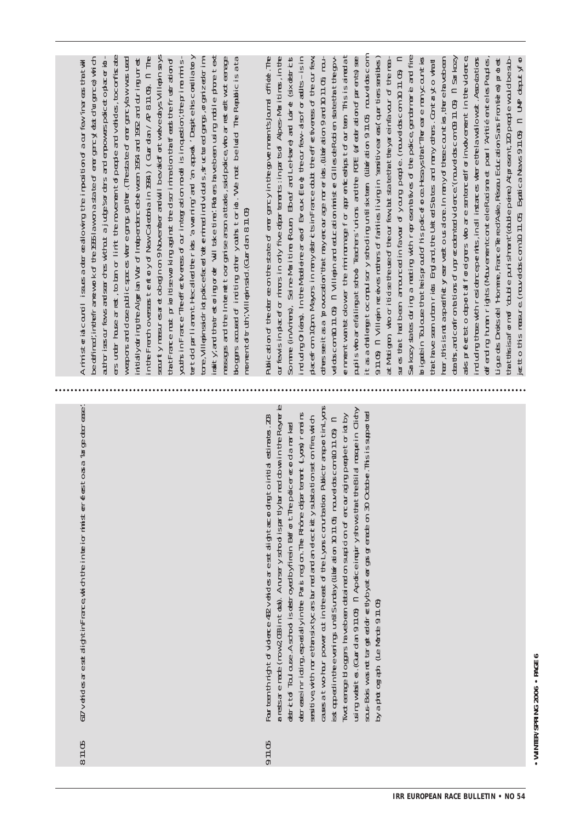67 veides are set alight tin France which the interior minist energes to as a 'large dent ease' 811.05

messaremade (now20331ntch). Anuseryschoolispartlyburned cowninthe Reynerie cassatwo-har power at in the east of the Lyos conutia ton Public transportinity or Birgwebites. (Gardan 9.11 Cb) n Apolice impiry shows that the Billal mosque in Clichy derease in riding, especially in the Paris region. The Rhône determent (yons) renains Mot earast boops havebeen detained on suspicion of encour ad na people to idday saus-Bois was not tar get edd r ee tybyat earges greneben 30 October. This is supported ana tive with more than six tycars burned and an electricty substation set on file which stapelinteevering untSunday (liberation 1011 05 naveloscom 1011 05 n out ten thin that of videore  $42$  verides are set alloht accordination in that estimates.  $23$ hart of Toulouse. A school is destroyed by firein Befort The policerecord a narived yapotogan (e lorde 91105 9.11.05

ars under house arried, to ban or limit the movement of people and vehicles, to conflisate seurtymeaurearetobeginon 9 Novemberandwill bevaldfortwevedays Villepin says n te Fremovesses tentory of New Calebria in 1994) (Guardan / AP 811.05). n. The ta tFrace nust prioritse working against the discrimination that feast the frust atton of autsinFrance Treeffee tveress of our in terration model is incleation, the prime minislet do parliament Hecaled the ricks awaring and an appart ensignation for the form of  $\alpha$ raity, and that est or ing or de "will" take time: Ridters have been using mubilie phone text resains and the Internet toor carise asson a thats, sadpoice who aries edit workerable bogges acceed of inditing other youths torict. We must be ludd The Republic is a ta weporsand ose public spaces where gargs gainter. (The state of ever garcylaw was used initially dring the Algrian Ward Findependence between 1954 and 1962 and during unrest edfined in the famework of the 1955 law on a state of energy data dividence) which autorissaur fewsardser des wittuut a jude sorders and empowers.poicet opacerid : tre, Villepinsidrictpoicefaed tet entired individals, structured cards, organized crim-Aninisteria countil issues a decree allowing the imposition of a our few linares that will nomentofruth',Villepinsid. Curdan 811.05

Sarkozy shess during a meding with representatives of the poince, gendemente and fine aspecto do to the foreigns who are somethor involvement in the vidence ablication of the determinities of energency in the opvertments burnel office. The Somme (inAniers), Sei re-Maritime Rouen, Ebeuf ard LeHave) and Lorde (sixidstricts  $\Xi$ pigatin ToJous that heisproid of his policeforce. Hesays that The early environment its rd ulrg trævith residencepents, inal instancs where the lawallowst. Associations ar few is in placeforminars in only five departements: in part for Alpes-Maritimes, in the rduarg Crleas). In the Madelere area of Evreux Eure the authorities and the listing ddscom 10.11.05) n Villein and educationiniste Gillesde Robien sa te that the opvementwanttolower the minimum ape for apprenticating to four teen. This is aimed at auliswoarefallingatstoob Teachers' uniors and the FCFE (affecter attorn of parents) see tasadaleng to compulsory stooling until skiten (liberation 9.11.05 nouved oscom per, this signary and the rest vector of the counties, the elayebean deats, and confrom a tions of unreader ted vidence (nuvelobscom 09 11.05) in Sarkozy offerding human rights Mauvement to ontele Radisme et pour l'Anitié enteles Peudes, etto this measure (nouvel obscom 10.11.05 Expatical News 9.11.05 in UNP deputyfor dae of om Maors in manydstic tsin Frace oubt the offe typess of the our fay. of the second that may encorrect the filter of one of 10.11 of nou-91105 n Villephreekes mothers of failies living in 'sensitiveareas (quartiers sensities ) atMationon who criticles the use of the urfew lot state that the varietings cur of the meathat have seen urban ricks England, the Unit ed States and many others. Contracto what jae des Droits del 'Homme, France Terred'Astie, Réseau Education Sans Fron téres protest  $\tan t$  th sisaform of couple punishment (obtaine) A to each  $t$  (20 people would be substres that heathean arrounded in falvour of young people. (nouvelobscom 10.11.05)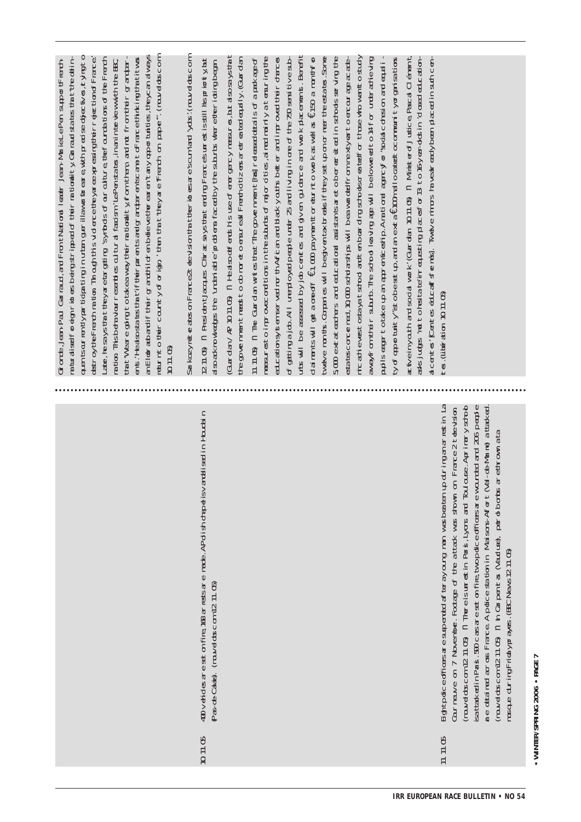| an Elobrado and if their grandfill of en believe the earen't any opportuities, the yoan always<br>a traiselforeign rictes being stripped of their rationality Ganau states that the celin-<br>quentsourrently participating in urban guerillaw ar fareare with precise dijectives, it ying to<br>return to the county of origin, then that they are french on pape". (nouved oscom<br>ent. Healsosta tes that if their parents and gramper entits are to France thinking that it was<br>destroy the French ration. Through this vidence the yaree appropention of France is<br>Later, he says that they are bargating isyntods of our outure, the foundations of the French<br>harton Thisbehaviour resenties outural fastsn 'ILAP enstates, in an interview with the BC,<br>Grimde, Jean-Paul Garraud, and FrontNational leader Jean-Mariel e-Pen suportFrench-<br>$\tan t$ weare ging to take away their nationality from them, and not from their gramper<br>$1011$ $(5)$ | (Guardan/AP 1011.05) in Healsouefferushis use of energency measures, but also says that<br>the government reeds to obtinor et o ensureed Frentoid tensioner en entertailly. (Guardan<br>SarkozyreteratesonFrance2teevisionthatteeridesareiscumianilydus: (muvelouscom<br>(211.05) n President Lacques Chriac says that entire Francesum estisstill hispriorty but<br>assax rowledges the 'underial e' prodiens faced by the sturbs where the rior unplogen | uts will be assessed by job centes and given guidance and work placements. Benefit<br>of getting a job. All umptoyed people under Z5 and living in one of the 760 sensitive sub-<br>esa tescorcernal, 10.000 satolarships will beaw antes from nextly ear to encourage acade-<br>micadievestostayatstood antenbarding strodscreatedfor those who wan to study<br>$\pi \pi \pi$ in The Guardan wrtes that The government $[\pi]$ released details of a pack age of<br>measures to improve conditions in the suburbs of major of tes, aimed mainly at ensuring the<br>5000 exterters and educational assistants are dober et utilian stroots serving the<br>educationsystem served nor thAffcan and back youths better and improved their changes<br>tweke man ts. Comparies will begiven tax break if they set up on or near the estarts. Some<br>awayfrom their subut. The stroot leaving age will belowered to 14 for under achieving<br>dainen tswill get a one off €1,000 payment or eurnt o work as well as €150 a mont from | $\alpha$ pliseagertotake up an appropriectip. A rational agencyfor "soda consaion and equali-<br>assjuges 'not to heater in equesting places for 13-to 16-year-ods in dosed education-<br>a tveinyouth and so dal work (Guardan 1011.05) in Minist erof Justice Pascal Clienent<br>acentes' [centes educatisfiemes]. Twelve minors havear eadybeen placed in such cen-<br>ty of apportuity ist obeset up, and an extra ENO in all ocated to community or garisations | tes. (Liberation 1011.05)                                                                                                                                                                                                                                                                                                                                                                                                                                                                                                                                                                    |
|------------------------------------------------------------------------------------------------------------------------------------------------------------------------------------------------------------------------------------------------------------------------------------------------------------------------------------------------------------------------------------------------------------------------------------------------------------------------------------------------------------------------------------------------------------------------------------------------------------------------------------------------------------------------------------------------------------------------------------------------------------------------------------------------------------------------------------------------------------------------------------------------------------------------------------------------------------------------------|------------------------------------------------------------------------------------------------------------------------------------------------------------------------------------------------------------------------------------------------------------------------------------------------------------------------------------------------------------------------------------------------------------------------------------------------------------|----------------------------------------------------------------------------------------------------------------------------------------------------------------------------------------------------------------------------------------------------------------------------------------------------------------------------------------------------------------------------------------------------------------------------------------------------------------------------------------------------------------------------------------------------------------------------------------------------------------------------------------------------------------------------------------------------------------------------------------------------------------------------------------------------------------------------------------------------------------------------------------------------------------------------------------------------------------------------------------------------------------------------------|----------------------------------------------------------------------------------------------------------------------------------------------------------------------------------------------------------------------------------------------------------------------------------------------------------------------------------------------------------------------------------------------------------------------------------------------------------------------|----------------------------------------------------------------------------------------------------------------------------------------------------------------------------------------------------------------------------------------------------------------------------------------------------------------------------------------------------------------------------------------------------------------------------------------------------------------------------------------------------------------------------------------------------------------------------------------------|
|                                                                                                                                                                                                                                                                                                                                                                                                                                                                                                                                                                                                                                                                                                                                                                                                                                                                                                                                                                              |                                                                                                                                                                                                                                                                                                                                                                                                                                                            |                                                                                                                                                                                                                                                                                                                                                                                                                                                                                                                                                                                                                                                                                                                                                                                                                                                                                                                                                                                                                                  |                                                                                                                                                                                                                                                                                                                                                                                                                                                                      |                                                                                                                                                                                                                                                                                                                                                                                                                                                                                                                                                                                              |
|                                                                                                                                                                                                                                                                                                                                                                                                                                                                                                                                                                                                                                                                                                                                                                                                                                                                                                                                                                              | 40 verides are set on fite, 186 arress are made. APolish dape isvandi sed in Houdain<br>Pas-de-Cates) (rouvel dosc om 12 11.05)<br>01105                                                                                                                                                                                                                                                                                                                   |                                                                                                                                                                                                                                                                                                                                                                                                                                                                                                                                                                                                                                                                                                                                                                                                                                                                                                                                                                                                                                  |                                                                                                                                                                                                                                                                                                                                                                                                                                                                      | updringanarestin La<br>sa ttax ed in Paris. 500 carsareset on file, two police officers are wounded and 206 people<br>(rawedoscom 12 11.05) n. Thereisurrestin Paris, Lyons ard Toulouse. Aprimary strob<br>are detained across France Apdice station in Maisons-Affort (Val -de-Marie) attacked.<br>on France 2 teevision<br>(rouvelobs.com 12.11.05) in hCarpentas (Aaduse), per o bombs are thrown a ta<br>Eightpdicedficesaresupended af terayourg man wasbeaten<br>Courneuve on 7 November. Footage of the a ttack was shown<br>mosque during Fridayprayes. (BC News 12 11.05)<br>11.05 |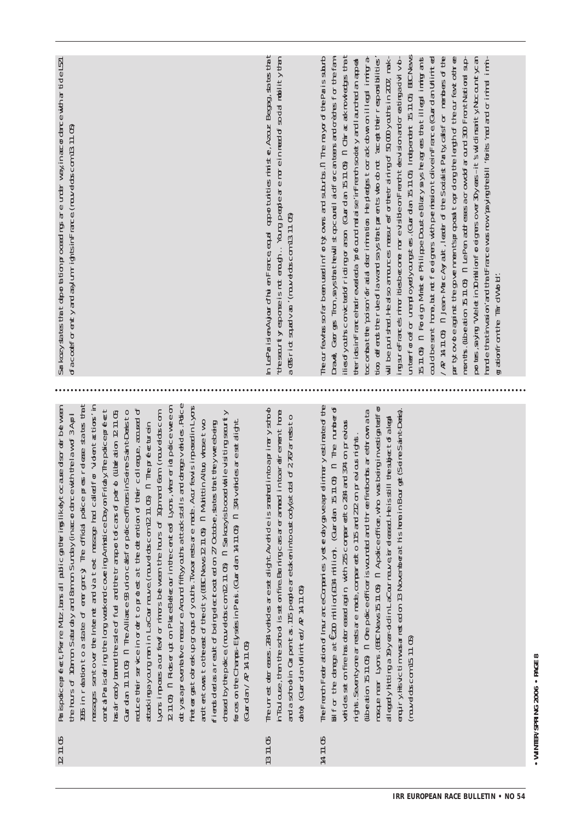- a ispotice profect Pierre Mutz, lans all public gaiter implikely cocaused sor derween 95 in reation to a state of energery The official police preserveses states that dutyasaprevent the measure Around fiftyy out satistics and datage vehicles. Poice iletergstobrekupgroupsofyouths. Two arressere made. Aour few is imposed in Lyons ressages sentover the Internet and via text ressage had called for "vident actions" in educe their service in order to protect at the detention of their colleague, acceed of 211 (b) in Rictser ut on PlaceBellecour in the cented Lyans, where rict police weed  $B$  and  $B$  and  $B$  and  $B$  and  $B$  and  $B$  and  $C$  over  $B$  and  $A$  and  $C$  and  $C$  and  $C$  and  $C$  and  $B$  and  $B$ Gardan 11.1106 n The Alliance 93 union calsforpdice officers in Seine Saint Denisto as already barred the select full and the transport to Cansof per obtained the rank of 10.05 treat by the police (rawelescom 12 11.05) n Sarkazyishooed while visiting searty  $\Delta$  or imposes a current or minors between the hours of 10 cm and 6 am (nouvelobs comte burs of 10am on Saturday and 8am on Sunday (in accordance with the law of 3 April and tentiows to the east of the of y (BC News 12 11 Cb) n Multiturion whose two forces on the Champs-Elystes in Parts. (Guardan 14.11.05) in 374 verides are set alight Fierds ded as a real to Fbeing decircuted on 27 Octobe, share that the ywe eloe impose attaximayoum manin LaCourneuve (nouvelobscom 1211.05) a Thepréfecturein  $G$ ardan/ $R$  14 11.05 1211.05
- The unrest detreses. 284 verides are set alight Averide is strated in to aprimary strob hToulouse, then the strood is set on filre Burning cars are armed in to are drement home ard a school in Carpent as. 115 people are token in to act colvet otal of 2 To a ress to 出自 GuardanUtimited/AP 14.11.05 1311.05
- The French Feder attion of Insurance Comparies yet ending weap et intrary estimate of the mague near Lyons, (BC News 15 11.05) in Apdice office, who was being investigated for of the datable at  $\epsilon$ 200 million(fl24 million). Cuardan  $5$  11.05  $\,$  n  $\,$  The number of libeation 15.71 (b) in the police officer is wounded and three fireborts are thrown ata andiryHsvctimwasarested on 13 Novemberaths home in Bourget Seine-Saint-Densist derictes set on file has decreesed again with 215 compared to 284 and 374 on previous alleadyhttinga 19 yer ddin LaCournauve isrel easad. He is still the subject of allead ight. Seventy one arrest are made, compared to 115 and 212 on previous rights. nuveldoscom 15.11.05) 14.71.05

 $\Im$  kozy $\Im$  as that deport at onproceeding are under way, in accordent than the LS1 faccoeforenty and asy un rightsin France (nouvelobscom 13 11.05)

the seartly esporse is not enagh... Yourg people are nor elin need of so dat mobility than n LeParisenAujourdhui en France equal apportuites ministier, Azouz Begag, sants that a 08 rict squativan ' (rauvelassion 13.11.05)

unterforgefor unandoyadyourgstes. (Gardan 15.11.05 Independent 15.11.05 BBC News 15 m(b) n Foreign Minister PhilippeDousteBlazyays heagrees that illegal imaigrants ar tytovdeaginst the government sprop as top dorp the leight of the our few to three combatte poison of ada discrimination Heldedes to crack obwn on illegal immigra-/ AP 14.11.05) in Jean-MarcAyralt, leader of the Socialist Party calsforment besoft the Tear fay has so far been used in for ty owns and suburbs in The may or of the Parissularb ion offeres the rule of law and says that parents who do not 'acept their responsibilities' could be sent fore, but rot for eights with permission to ive in France (Guard an Utimited oortes, siying Welet in Chillion Foreignes over 3Dyeas-it swidinsait y Nocountycan Dravel Georges Tron, says that thew'll st go countil aid forcan teers and oreotes for the fanllesofyouths convicted fricting or asson (Guardan 15.11 Ob in Chrias at now ledges then will be purished. He also arrounces meaning of the training of 50 000 youths in 2007, makrgsureFrancesminoritesbecore morevisible on French teevision and or ea tima avil volmonts. (Libeation 1511. Ob n LePen addresse arow of around 300 FrontNational suptericsinFrancehatrevadea profound radise inFrenchisordativiand and appear and e tha tinked on and that Francew as one you the bill rights med and or ining in min tration from the Throlly or by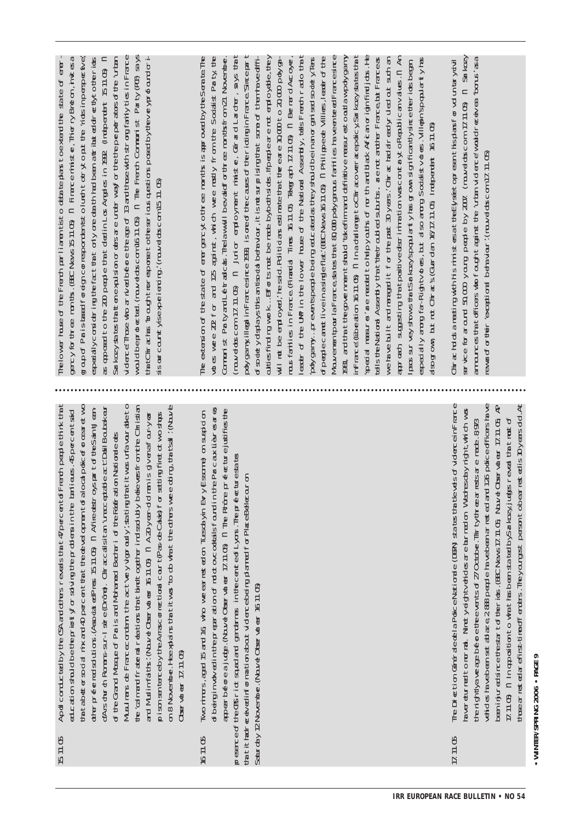15.11.05 Apd conducted bythe  $\overline{\mathfrak{G}}$ and othersrevealsthat47 percentofFrench people think that educ ation should bethe priorityforsolvingthe problemsinthe banlieues.45 percentsaid thatabettersocialmix and  $\ominus$ percentthatthe developmentofalocalpoliceforcearetwo other preferred solutions A.( ssociated Press 15.11.05) n Afire destroys partoftheS aint-Jeand'Ars church Romans-sur-Isère(Drôme).Chiracc allsitan 'unacceptable act'.DalilBoubakeur ofthe Grand Mosque ofParis and Mohamed Bechariofthe Fédération Nationale des Musulmans  $\bigoplus$ Francecondemn the act'very vigorously',statingthatitwas unfavourableto

 $\tilde{\tau}$ the valmand framental relations that bind to coeffer indisculd vibele vesifion the Christian doing, that'sall'. Now shops  $\circ$ enafour-y firetotwo believersiehen the  $\frac{1}{2}$ Arrascorrectionalcourt(Pas-de-Calais)forsetting manis were ear-old the 'calmandfraternalrelationsthatbindtogetherindissolubly others  $\widetilde{\mathcal{A}}$ what the  $\prec$ elObservateur 16.11.05) n do November.Heexplainsthatitwas'to Muslimfaiths: Now sentencebythe DLSBE VEL 84F 17.11.050 Observateur 17.11.05) prison on 8 and

16.11.05 Two minors, aged 15 and16,who weerrested  $\overline{5}$ **Tuesdayin** Evry(E ssone) on suspicion ofbeinginvolv edinthe preparation ofmolotovcocktailsfoundinthe Parc aux Lièvresarea, aper before ajudge.(Nouv elObservateur 17.11.05) n The Rhône prefecturejustifiesthe presence ofthe CRS rict squad and gendarmes in the cented<sup>-</sup>L yons.The prefecturestates thatithadreceiv edinformation aboutviolencebeing planned for PlaceBellecouron Saturday12November (NouveDbervdreur 16.11.05) November. Nav elObservateur 16.11.05) 17.11.05 The  $Dir\in L$ Générale dela Police Nationale (DGPN) states that tevels ofviolenceinFrance havereturnedto normal.Ninety-eightv ehicles are burned 6 Wednesday night,which was the nightlyaverage beforethe events of27 October. Thir ty-threearrests are made.8973 vehicles havebeen set ablaze, 2,888 people havebeen arrested and126 pdice officers have beeninjured sincethe startoftheriots. (BC News17.11.05; Now elObervateur 17.11.05;AP 17.11.05) n In oppositionto whathas been stated byS arkozy,judgesrevealthatmostof those arrested arefirst-time offenders.They oungest persontobearrestedis10y ears old.At

The lower hases of the French parliamentisto debate planstoextendthe state of emergencyforthree  $m$ m $ts$ . $(BC)$ News15.11.05) n Finance  $m$ nister, Thierry Breton,invites a group of Paristanation correspondentstolunchtotryto put the 'riotsin perse tve, epecialy  $\cosh d\mathbf{r}$  ingthefactthatonly one death had been attributed directlytotheriots  $\theta$ opposedto the  $\bigotimes$ people thatdiedin L os Angeles in 1992. (Independent 15.11.05) n Sarkozy statesthatten expulsion orders are underwayforthethe perpetrators ofthe 'urban violence'.Those who arriv  $\overline{\Theta}$ beforethe age of13 andthose with strongfamilytiesin France would be protected.(nouv elobs.com 16.11.05) n The French Communist Party (PCF) says thatChirac has 'broughtnoresponsetothe serious questions posed bythev eypord crissarccuntyisexpeierairg: (ravedascom 15.11.05) ourcountryisexperiencing.'(nouv eldos.com 15.11.05)

The extension ofthe state of emergencytothree  $m$  $m$ ths is approved bythe S enate.The votes were  $22$  for and  $125$ against,which were mostly from the  $\circ$ ocialist Party,the Communist Party and L eftradic als.Thelawwillbev alidforthree monthsfrom 21 November. (nouv elobs.c om 17.11.05) n Junior employment minister,Gérard L archer,sa ys that poly gamy,illegalinFrancesince1993,is one of the cares oftheriotingin Frace.'Sime part ofsociety dsplaysthis antisocialbehaviour,itis notsurprisingthat some of them havedifficulties finding work… Efforts mustbe made byboth sides.Ifpeople are not employable, they will not be employed,'he said.Politicians estimate that the earle  $10000$  to 20,000 poly .<br>ල mousfamiliesin France. (Financial Times 16.11.05) Telegraph 17.11.05) n Bernard Accoyer, leader of the UMP in the lower house eater of the UP in the lower has of the National Assembly, tels Freedom radio that National Assendy, tals French radio that 'poly gamy… preventspeople being educ ated asthey should beinanorganised society.Tens d<sub>p</sub>edecanatiiv eina single flat<sup>(BC</sup> News16.11.05) n Philippede Villies, leader of the lowerentpour laFrancesta testrat 80,000 polygamus families haveen tereffrancesince ementpourla France,statesthat80,000poly gamousfamilies haveentered Francesince 1981,andthatthe governmentshould 'takefirm and definitiv e measurestooutlawpdy gamy inFrance'.(Liberation 16.11.05) n In a challengetoChiracoverracepolicy,Sarkozy statesthat 'special measures'are needed to help y ouths ofnorth and blak<br>D Afc an origin findjobs.He tell strend assembly that the troubled suburbs. are not another France put France as NationalAssemblythat'thetroubled suburbs. are not another France but Franceas we have built and managed it for the past 30 y ears.'Chirac had alread yruled  $\alpha$ t such an approach, suggesting thatpositiv e dscrimination wascontarytoRepublic an v alues.n An Ipsos survey showsthatS arkozy'spopularity has grown significantlysincetheriots began, especially among far-Rightv  $d$ es, but also we Socialisty  $d$ es. $V$ illepin'spopulari $V$ has alsogrown, but not Chirac's. (Guardian 16/17.11.05; Independent 16.11.05)

Sarkozy ea 'bonus'asa plansforvoluntarycivil eldts.com 17.11.05) n violence'wouldreceiv séetopresenthis rewardforther exactional behaviour (rouvedoscom 17.11.05) eldbs.com 17.11.05) 2007. (nouv who fought against the 'urban  $min$ stersatt $text{teE}$ by rewardfortheir 'exceptionalbehaviour'.(nouv peop 50,000 y oung his with announcesthatofficers meeting service foraround holds a Chir ac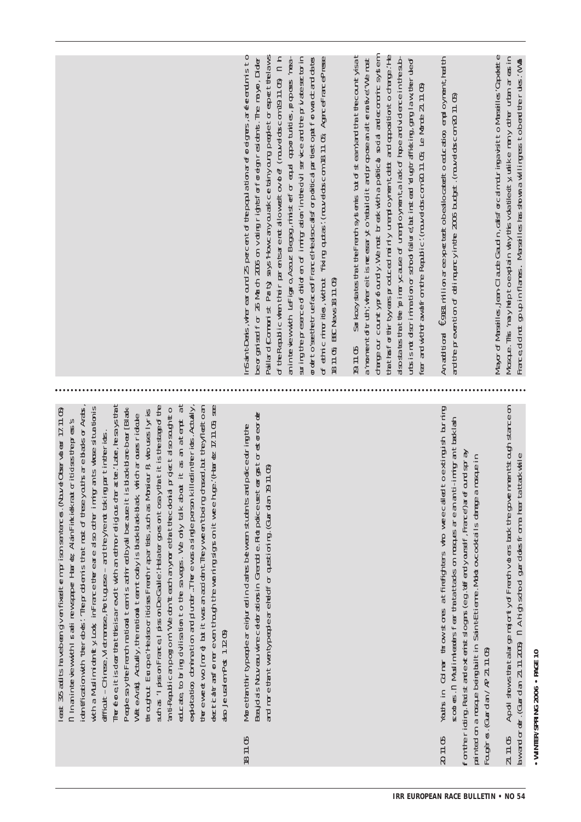|                                                                                                                                                                                                                                                                                                                                                                                                                                                                                                                                                                                                                                                                                                                                                                                                                                                                                                                                                                                                                                                                                                                                                                                                                                                                                                                                            | Pallard Comunist Party says Howcanyoual axide tanyourg people to espect the laws<br>aninterviewwith LeFigro, Azuz Begeg, minst erfor equal apportunities, proposes imea-<br>nSantDens, where ear curd 25 percent of the population arefore igners, are ferentinisto<br>of the Republic when their parents are not allowed to vote (may eldoscom 19.11.05) in h<br>ceorgaised for 26 March 2006 on voting rightsforforeign residents. The mayor, Dider<br>string the presence of did en of in the orin the ovil service and the private sectorin<br>or or the the face of France Heals cals or political particular forward cand dates<br>of ethic ninorities, without "fixing quates: (movel obscom 18.11. Obj Agence-FrancePresse<br>BEC News 18 11.05<br>1811.05 | Sarkozysta tast the French systemis 'out of steam, and that the countryisat<br>$\tan \frac{1}{2}$ that for thir tyy earsproduced mainly unemployment detained and appoint of drange. He<br>also state to the primary case of unanto ymental ack of hope and vidence in the sub-<br>darge our countyprofoundly. We must break with a political social and ecomic system<br>utsis rot dscrimiration or stroot falure; but instead to ug trafficking, garg law, terrule of<br>amomentofruth, where it is necessary to vietuil dit and propose an alternative. We must<br>ear ard with that from the Republic: (rouvel doscom 20 71 05 Le Monde 21 71 05)<br>19.11.05 | An addioral €9781 million aree xpectatio bealocated to education employment health<br>and the prevention of delingercyin the 2006 budget. (nowed obscom 20.11.05)                                                                                                                                                                                               | MayorofMaseilles, Jan-Claude Gaudin, calsforcalm duringavistito Maseilles 'Capeette<br>Mosque. This may help to explain why this vota tlect yunlike many other urban areas in<br>France do that go up in flames. Marsailles tas shown a willing tess to be at the rules: (Wall |
|--------------------------------------------------------------------------------------------------------------------------------------------------------------------------------------------------------------------------------------------------------------------------------------------------------------------------------------------------------------------------------------------------------------------------------------------------------------------------------------------------------------------------------------------------------------------------------------------------------------------------------------------------------------------------------------------------------------------------------------------------------------------------------------------------------------------------------------------------------------------------------------------------------------------------------------------------------------------------------------------------------------------------------------------------------------------------------------------------------------------------------------------------------------------------------------------------------------------------------------------------------------------------------------------------------------------------------------------|--------------------------------------------------------------------------------------------------------------------------------------------------------------------------------------------------------------------------------------------------------------------------------------------------------------------------------------------------------------------------------------------------------------------------------------------------------------------------------------------------------------------------------------------------------------------------------------------------------------------------------------------------------------------------------------------------------------------------------------------------------------------|-------------------------------------------------------------------------------------------------------------------------------------------------------------------------------------------------------------------------------------------------------------------------------------------------------------------------------------------------------------------------------------------------------------------------------------------------------------------------------------------------------------------------------------------------------------------------------------------------------------------------------------------------------------------|-----------------------------------------------------------------------------------------------------------------------------------------------------------------------------------------------------------------------------------------------------------------------------------------------------------------------------------------------------------------|--------------------------------------------------------------------------------------------------------------------------------------------------------------------------------------------------------------------------------------------------------------------------------|
| illedinterics.Actally,<br>BerR who uses lyries<br>which aroses ridate                                                                                                                                                                                                                                                                                                                                                                                                                                                                                                                                                                                                                                                                                                                                                                                                                                                                                                                                                                                                                                                                                                                                                                                                                                                                      |                                                                                                                                                                                                                                                                                                                                                                                                                                                                                                                                                                                                                                                                                                                                                                    |                                                                                                                                                                                                                                                                                                                                                                                                                                                                                                                                                                                                                                                                   | to extingish buning<br>masquein                                                                                                                                                                                                                                                                                                                                 |                                                                                                                                                                                                                                                                                |
| The consisted that this is a read twith an etho-religious data terilate, he says that<br>educate, to bring dvilisation to the savages. We only talk about it as an attempt at<br>such as 'I pissonFrance,I pissonDeGaulle:Helater opesont cosay thatitis the stage of the<br>thereweet wo [mare] but it was an accident Theyween theing chased, but theyfiled to an<br>decitical transformer even though the world governit weeking: (Hardz 17.11.05 see<br>with a Muslim idently Look in France there are also other limitgrants whose situation is<br>antRepublican portonn' We don't each anymore that the colonial project also sough tho<br>identfication with "therebuse". The production is that most of these youths are blacks or Arabs<br>Peple say the French national team is antiread by all because it is black blancheur [B] advertised<br>least 3/5 adults ha vebeen given finkett em prison sen erces. (Nouve Observateur 17.11.05)<br>n Inanin te vewwith I sali rewspape Haret AlanFirkiekraut or itidse thepress's<br>dfficult-Chinee, Metranee, Portuguee-and theyre not taking partinitericts.<br>traghaut Europe Healsporitions Frentinia artists, such as Mor<br>ado ta to chi ra tion and duntar The ewas a simple person k<br>WhiteArtaily, the rait of team today is blackbackback<br>dso Jeusalem Post 1 1205) | Beaudas Nouveau wire celebrations in Grendde. Rictpolice use teargest or earger<br>More than thin typepte are einjured in dastes between students and police during the<br>and more than twen type pleare held for questioning. (Guardan 19.11.05)                                                                                                                                                                                                                                                                                                                                                                                                                                                                                                                 |                                                                                                                                                                                                                                                                                                                                                                                                                                                                                                                                                                                                                                                                   | sodes.n Muslimleades fear thata trades on mosques are an anti-imigrant tacklash<br>fom the ricting. Radist and extenist slogas (e.g. to Fendy oursal f. France) are found spray<br>Youts in Colmar timow stomes at firefighters who weecalled<br>pain ted on a mesque being built in Sain fe tieme. Mold occodstalls dange a<br>Fougeres. (Guardan/AP 21.11.05) | 21. 11. 05 Apdl stows that alarge majority of Freeth votiers back the governments outh stance on<br>Aw and order: (Guardan 21. 11. 2005) in A high stop of guarded of main frame to that while                                                                                 |
|                                                                                                                                                                                                                                                                                                                                                                                                                                                                                                                                                                                                                                                                                                                                                                                                                                                                                                                                                                                                                                                                                                                                                                                                                                                                                                                                            | 1811.05                                                                                                                                                                                                                                                                                                                                                                                                                                                                                                                                                                                                                                                                                                                                                            |                                                                                                                                                                                                                                                                                                                                                                                                                                                                                                                                                                                                                                                                   | 201105                                                                                                                                                                                                                                                                                                                                                          |                                                                                                                                                                                                                                                                                |

# • WINTER/SPRING 2006 • PAGE 10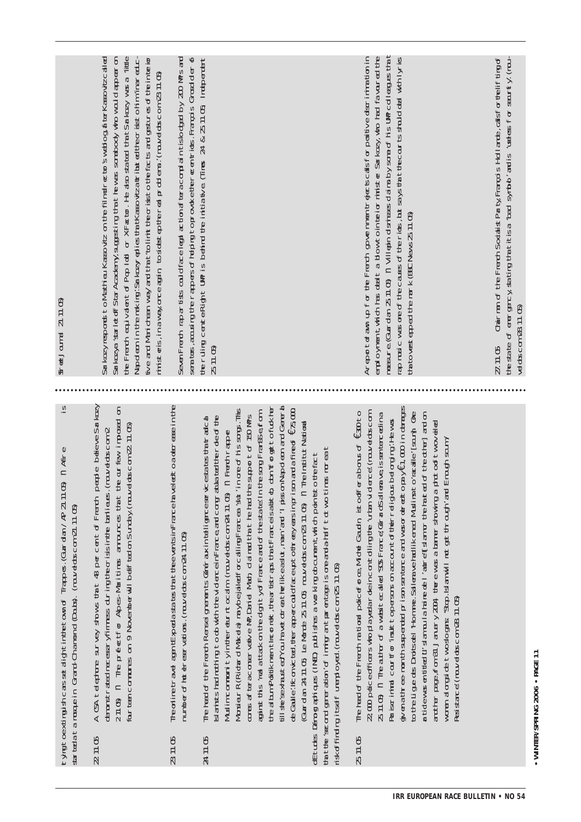| Steedland 21.11.05                                                                                                                                                      | the French equivalent of Pop Iodi or XFactor. He also stated that Sarkozy was a little<br>Sarkozyresponds to Mathieu Kassoviz on the film dree to sweblog af ter Kassovizcalled<br>Sarkozya starletoffStarAcademy,suggesting that hewas somebody who would appear on<br>tve and Mari chean way and that the limit the crisst of the Band gestures of the interior<br>Napoleon in the making'. Sarkozy epies that Kassoviza tribut ed the crists ohim 'inereduc<br>ministeris, in away once agin to sidest epther call problems. (rouvel obscom 23.11.05) | sea tos, acusing the rappers of helping to provide the recentricts. François Grosol der of<br>Sever Freeth rapar tists could face legal actional factorial and thislocotacid by 200 MPs and | the ruling centeRight UP is behind the initiatve (limes 24 & 25 11.05 Independent<br>251105                                                                                                                                                                                                                                                                                                                                                                                                                                                                                                                                                                                                                                                                                                                                                                                                                                                                                                                                                                                                                                      | measure (Guardan 25 11.05) in Villiophi dismissas dialos ty some of his UMP colleagues that<br>Areportoram up for the French governmentrejects boalsforpositive discrimination in<br>employment, which has deel t a blow to in the ior minister Sonkozy, who had favoured the<br>rapmusic was one of the causes of the rick, but says that the courts studioted with lynis<br>that to vest epped the nark (BCC News 25 11.05)                                                                                                                                                                                                                                                                                                                                                                                                                                                                                                                                        | the state of energiery stating that it is a 'symb' and is 'useless for security (nou-<br>Chairman of the French Socialist Party François Holl ande, calsformelif ting of<br>vel dascom 28 11.05)<br>27.1105 |
|-------------------------------------------------------------------------------------------------------------------------------------------------------------------------|----------------------------------------------------------------------------------------------------------------------------------------------------------------------------------------------------------------------------------------------------------------------------------------------------------------------------------------------------------------------------------------------------------------------------------------------------------------------------------------------------------------------------------------------------------|---------------------------------------------------------------------------------------------------------------------------------------------------------------------------------------------|----------------------------------------------------------------------------------------------------------------------------------------------------------------------------------------------------------------------------------------------------------------------------------------------------------------------------------------------------------------------------------------------------------------------------------------------------------------------------------------------------------------------------------------------------------------------------------------------------------------------------------------------------------------------------------------------------------------------------------------------------------------------------------------------------------------------------------------------------------------------------------------------------------------------------------------------------------------------------------------------------------------------------------------------------------------------------------------------------------------------------------|----------------------------------------------------------------------------------------------------------------------------------------------------------------------------------------------------------------------------------------------------------------------------------------------------------------------------------------------------------------------------------------------------------------------------------------------------------------------------------------------------------------------------------------------------------------------------------------------------------------------------------------------------------------------------------------------------------------------------------------------------------------------------------------------------------------------------------------------------------------------------------------------------------------------------------------------------------------------|-------------------------------------------------------------------------------------------------------------------------------------------------------------------------------------------------------------|
| $\frac{1}{2}$<br>rtyingtoextinguish.carssetalightinithetomof Trappes. (Guardan/R 21.11.05) n. Affre<br>startedatainsspein Grand-Chamond (Douts), (nowedos.com 21.11.05) | A CSA teleptone survey shows that 48 percent of French people believe Sarkozy<br>denote at the cess yfinmess during the origin the barileus. (round doscom 2 $-$ 2 11.05) $\,$ n. The prefect for Alpes-Maritimes amounces that the our few imposed on<br>four tean communes on 9 November will belif ted on Sunday (now did scom 22 11.05)                                                                                                                                                                                                              | edtoaderese in the<br>Theorline travel agen tExpedia star to the the vents in France have<br>number of hot etreservations. (nouvelobs.com 24.11.05)                                         | till se sexhast ed You havet ofte at the like aslut, man' ard ' i piss on Napol een ard Gener b<br>don'torgetofakher<br>Morsieur R (Ridard Makela) maybejaledforcallingFrancea 'sut' in one of his songs. This<br>de Galle: lifonicital, therappercould faceup to threey easing ison and a fine of $\epsilon$ 75,000<br>aginst this 'real a ttack on the dight yof France and of the state the surge France from<br>comes afteracomervative MP, Dariel Math, claimed that the had the support of 150 MPs.<br>Islarists had nothing to dow ith the vidence in France and congraduated the role of the<br>estate tartalca<br>Guardan 24.11.05 Le Monde 25.11.05 mouvelobs.com 23.11.05 in The Institut National<br>Muslimcomunityintereurntccam (rouvelobscom 24.71.05) n Frenchrapper<br>$\tan \theta$ the second generation of intigrant parameters is one-and-and fit of wo times moreal<br>dEtudes Démographiques (INED) publishes a working obcument which points to the fact<br>The head of the French Rensei gnerients Generax in telligenceser vic<br>the album Politikment lincoriety, the artist as that franceisabition | $\frac{1}{2}$ given a free-month suspected prison sentered and was one entropy $\epsilon$ 1, 000 in damages<br>The head of the French national policeforce Milotal Gaudin, ist coffer abonus of $\epsilon \, \mathfrak{W}$ to<br>to the Ligue des Droitsdel Homme. Sellera vehallikened Muslims to ratalle [soun]. One<br>a tidewas entited Li siangula haine de l'aurel[sian or the haited of the other] and on<br>22.000 police officers who played are deincontrolling the luran vidence (mouvelobs.com<br>25 11 05 n The author of a webstecalled 'SOS France(GrandSalleraxe issentencedinal<br>Paistrininal courfor insult to persons on account of their eligous belonging: Hewas<br>arother page, from 31 January 2024, there was a barrer showing a phot cofftwoveled<br>Enagh sam<br>women alongide two sloogens 'Stop. Islam will not get through' and<br>tisk of finding itself unendoyed. (nouvelobscom 25 11.05)<br>Resistance (rouvel obscom 28 11.05) |                                                                                                                                                                                                             |
|                                                                                                                                                                         | 211.05                                                                                                                                                                                                                                                                                                                                                                                                                                                                                                                                                   | 2311.05                                                                                                                                                                                     | 2411.05                                                                                                                                                                                                                                                                                                                                                                                                                                                                                                                                                                                                                                                                                                                                                                                                                                                                                                                                                                                                                                                                                                                          | 五11.05                                                                                                                                                                                                                                                                                                                                                                                                                                                                                                                                                                                                                                                                                                                                                                                                                                                                                                                                                               |                                                                                                                                                                                                             |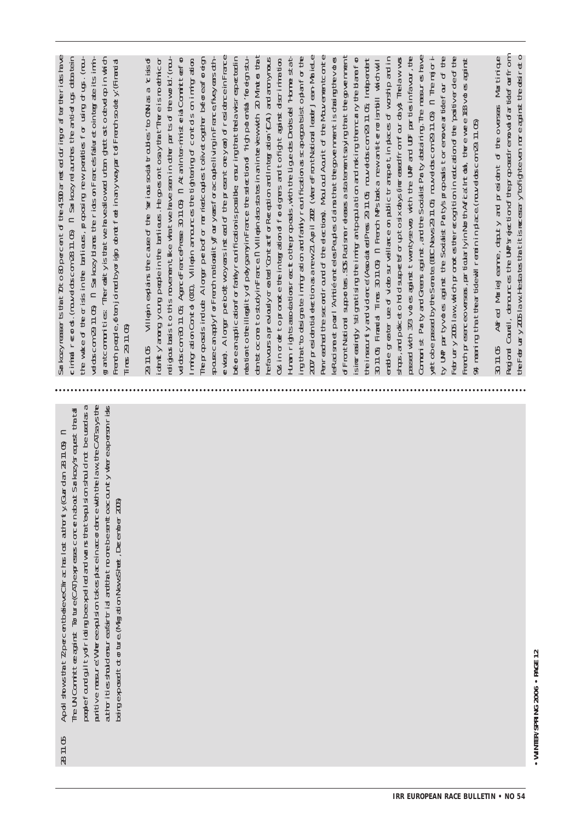be a fail to provide the state of the set of the state of  $\mathbb{R}^2$ unitive meaure!Whereexpulsion takesplace in accordence with the law, the CATsays the autorities stouderareafartrial and that no ore besent caccuntly whereapersonrisks re UN Committee against Tortre CAT beyonesses concernabout Sarkozysreaust thatal Apdistowstat ZpecentbeleveCirachsicstattorty (Gurdan 281105) n demonder to the Migration Newsheet, Deember 2005 28.11.05

 $\Im$  kozviesser is tat Dto & percent of the 450 aries ed during or arie the rich lave gantomunites Therelityistatwe have alowed utan gettostode velonin which cimital records. (rouvel doscom 28.11.05) in Sarkozy relatores the anti-drups detailerin the wake of the orisis in the barileus, proposing new peraties for using of us. (nou-Fremheaple, of ten joined by origin obnot feel in anyway ar to fremh so det y (Finanda ddscom 29.11.05 n Sarkozy blanes the ricts on Frances faluret oin terrate its immi  $1$ mes  $291105$ 

turan rights associations react othe proposals, with the Lique des Droits del Horme stat-2007 presidential election as a new 21 April 2002 (where FrontNational leader Jean-Mariel election of Jomini st Party and Greens against, and the Socialist Party abstaining. The measures have ewee). A long peboltwoyers instead of the present one year) of residence in France enceatral the second count of the elections). Mould add Aout to the Mouvement conte pfavoursapreviouslycreated "Contex for Reseption and Integration" (CAI) and anonymous rg that to designate immigration and fairly reunification as sapegas is stoplan for the eRad sme et pourl 'Anité enteles Peudes dains that the opverment is dassing the votes assed with 373 votes against twenty-seven with the UVP and LDF parties infavour, the ty UP partyvotes against the Socialist Partysproposition emove a fide four of the  $\frac{1}{2}$  and  $\frac{1}{2}$  and  $\frac{1}{2}$  and  $\frac{1}{2}$  of the contract of the contract of the contract of the contract of the contract of the contract of the contract of the contract of the contract of the contract of the co eligousbass to this movement like what we have seen in other parts of the world. (noudobscom 30 11.05 Aproderated reses 30 11.0b in AtanIn terrinist erial Committeefor distribution of the properties of the control of the control of the control of the control of the control of t of FrontNational supporters. SOS Racisme releases a statement traving that the opvernment since  $\exp(\sqrt{3}t)$  stigrable to the innigran population and individual then carry the blane for  $\frac{1}{2}$  and  $\frac{1}{2}$  or  $\frac{1}{2}$  of  $\frac{1}{2}$  of  $\frac{1}{2}$  of  $\frac{1}{2}$  and  $\frac{1}{2}$  of  $\frac{1}{2}$  of  $\frac{1}{2}$  of  $\frac{1}{2}$  of  $\frac{1}{2}$  of  $\frac{1}{2}$  of  $\frac{1}{2}$  of  $\frac{1}{2}$  of  $\frac{1}{2}$  of  $\frac{1}{2}$  of  $\frac{1}{2}$  o stacs, and policeto had suspects for up to six days (increased from four days) The law was attobe cassed by the Sena te (BEC News 29.11.05 nowed obscom 29.11.05) in The matori-Ferth presence overses, particularly in North Africal Intictal, the environ BB votes against denty anong young people in the barileus. He go es on to say that There is methic or migrationConto (00), Villepin arrources the tightering of contols on innigration Teproposals indude Alloraan perbotforman riedcouples to livet coeffice before earling of pouse can aply for ferch rational ty foury eas for acouple living in France fively ease of not  $\exists$ m st  $\infty$ ore to stalvin Frace  $\alpha$  VIII ends states in an interview ith  $\varpi$  Minter that Out in order to promote the in tegration of foreignes and to fight against discrimination hillepin explairs the case of the 'serious sochi troubles' to MN as a 'cissof reatorto the illegal ty of polygamyin France the salection of 'righ potenta' for agnistant teinseurt vard viderce (Associate)Press 29.71 OG nouvelobs.com 29.71 OG Independent 30.11.05 Finandal Times 30.11.06) n. French MPstaaka new anttermorismibili which will A meaning that thear tide will remain in place (nouvelobs com 29.11.05)  $29115$ 

the February 2005 law. Hesta tes that it is necessary to fighte ventore against the desinetion Allfed MarieJeanne, deputy and president of the oversess Martinique Regional Countil, denounces the UMP sredge tion of the proposed removal of artifat from  $211.05$ 

· WINTER/SPRING 2006 · PAGE 12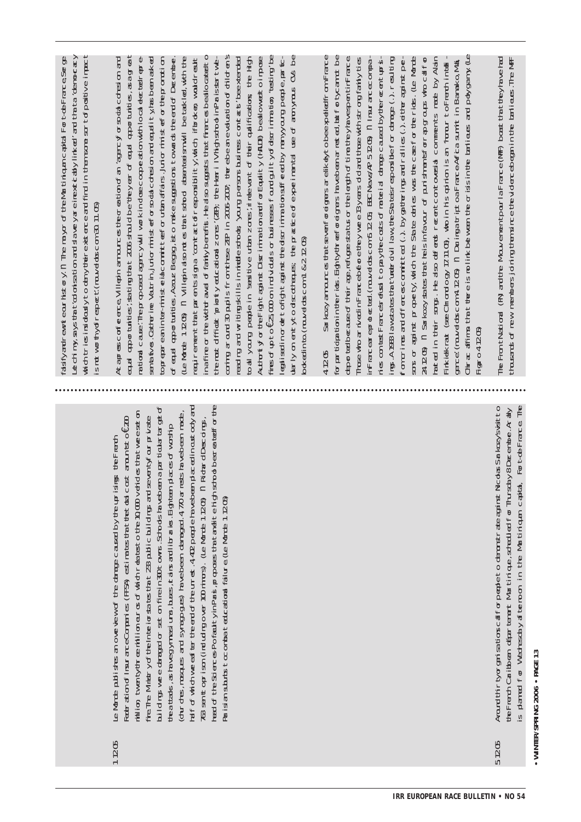|        |                                                                                                                                                                                                                                                                                                                                                                                                                                                                                                                                                                                                                                                                                                                                                                                                                                                                                                                                                                                                       | which tries insidealy to dary the rexist ence and find in then some sort of positive impact<br>$\pm$ chiny, siys that colorisation and slave yare line xitchly linked and that a democecy<br>fasifyantenteourhstory.n The mayor of the Martiniquancapital Forteur Fance, Serge<br>snot worthy of respect (mound doscom 30 11.05)                                                                                                                                                                                                                                                                                                                                                                                                                                                                                                                                                                                                                                                                                                                                                                                                                                                                                                                                                                                                                                                                                                                                                                                                                                                                                                                                       |
|--------|-------------------------------------------------------------------------------------------------------------------------------------------------------------------------------------------------------------------------------------------------------------------------------------------------------------------------------------------------------------------------------------------------------------------------------------------------------------------------------------------------------------------------------------------------------------------------------------------------------------------------------------------------------------------------------------------------------------------------------------------------------------------------------------------------------------------------------------------------------------------------------------------------------------------------------------------------------------------------------------------------------|------------------------------------------------------------------------------------------------------------------------------------------------------------------------------------------------------------------------------------------------------------------------------------------------------------------------------------------------------------------------------------------------------------------------------------------------------------------------------------------------------------------------------------------------------------------------------------------------------------------------------------------------------------------------------------------------------------------------------------------------------------------------------------------------------------------------------------------------------------------------------------------------------------------------------------------------------------------------------------------------------------------------------------------------------------------------------------------------------------------------------------------------------------------------------------------------------------------------------------------------------------------------------------------------------------------------------------------------------------------------------------------------------------------------------------------------------------------------------------------------------------------------------------------------------------------------------------------------------------------------------------------------------------------------|
| 1.1205 | head of the SciencesPorfaultyinParis, proposes that tankitie high schoolbearea ted for the<br>build repowee danaged or set on fine in 300 towns. Schools havebeen a par thoular har get of<br>raf of which we ear the end of the unreat. 4 42 people have been placed in outs coty and<br>million twenty-three million auros of which rearies to the 10,000 verides that we esst on<br>(throthes, mosques and synapogues) havebeen damaged. 4, 770 arrests havebeen made,<br>fire. The Ministry of the Interiorsa test fact 223 public buildings and seventy four private<br>763 senttoprison (indudrojover 100 minors). (Le Monde 1 1205) in Ridard Descoings,<br>Federation of InsuranceComparies (FFSA) estima tes that the total cost amount to of 200<br>teatats, as havegymasi uns, b.ass, it ains and libraties. Eighten places of worship<br>Le Monde publishes an overview of the damage caused by the uprisings the French<br>Parisiansubuts to combated cational failure (Le Monde 1 1205) | coming around 30 publis from these ZE in 2006-2007, there bean evaluation of children's<br>ead aportuites; sating that 2006 stud be treyer of ead aportuites, as agreat<br>${\rm fr}\mathfrak{es}$ of $\mathfrak{p}$ to $\epsilon$ Zio $\mathfrak{so}$ nd videls or business found uit yofdscrimination "esting" be<br>$\ln y$ on $\epsilon$ ntyto decotheres the practic experimental use of annyous O.S be<br>rational cause. The proposed agency will work indosecooperation with local elected repre-<br>inafire or thew thoraval of failly benefits. He also suggests that finances bealocated to<br>(Le Morde 11205) n Villepin also rotes that sobod absenteeism will be tackled, with the<br>the most of finant 'priorty educational zones' (AE), the Henri I V high sobro in Parissar twe-<br>to all yourg people in seasitive urban zones; in tee vanit of their qualifications the High<br>AutortyforteFightaginstDiscriminationantforEquality (PALE) bealowedtoimpose<br>Ataprescorfeence Villepin amounces theorea tion of an expro yior social consaion and<br>of egual apportunities, Azouz Beggeg, ist o make suggestions towards the end of December.<br>repirement that parentsigna 'contactofresponsbility, which inforce a would result<br>reading and writing still sinning e strock 'yourg persons bairess contrais' beextended<br>top eareanin te-minist claicomittee for utan affairs. Unior minister for the promblion<br>senatves.Catterine Vautrin, jutorninistenforsoda cotesion and equality/has been asked<br>eglisedinoretrofightaginst the dscriminations. If eachly many ourg people, parto<br>bokedinto. (rouvel doscom 1 & 2 12 Cb) |
|        |                                                                                                                                                                                                                                                                                                                                                                                                                                                                                                                                                                                                                                                                                                                                                                                                                                                                                                                                                                                                       | Chrac affinns that the eismolink between the cristin the barieus and polygamy (Le<br>for participation in the rick. Eighty-threef oreignes havebeen arreated, but for tycarnot be<br>Sarkozyamaunces thatsevenforeigners arelikelytobeeppeledifrom France<br>llricee who arrived in Francebefore the ywere 13 years dod and those with strong failly ties.<br>In Francear eprotected. (muvel discom 5 12 CG BEC News/AP 5 12CB) in linear acecompa-<br>deported because of their age, refugees status or the legth of time they have spen timi-rance<br>ies contest Frances efter to pay the costs of national datape caused by the recent up is-<br>fon crimes and offence committed () by gatherings and ratiles (.) either against per-<br>sons or against property, which the State deries was the case for the ride. (Le Monde<br>rated in their sorgs. He also defents recentcontoversal comments mate by Alain<br>ings. A 1933 lawsta tes that under divil law, the Stateisr exposible for damage () resulting<br>24 12 05) in Seriko 2y states that the is in favour of purishment for any outs who call for<br>gance (muvelobscom 4.12 05) n DuringatriptoaFranceAnfcasumitin Banako,Mali<br>Finkiekrat (see Chrondogy 17.11.05), who in his opinion is an 'honur to Frentinitelli<br><b>Figgro4 1205</b><br>4205                                                                                                                                                                                                                                                                                                                                             |
| 5205   | For t-de-France. The<br>Around thir type garise thorse affore people to denorstrate against Nicolas Sarkozy svisitto<br>the French Caritbrean offer terrent Martinique, scheedlied for Thursday8December. Analy<br>is paned for Wednesday of termoon in the Martiniquan capital,                                                                                                                                                                                                                                                                                                                                                                                                                                                                                                                                                                                                                                                                                                                      | The FrontNational (FR) and the Mouvement pour la France (MF) boast that the yhave had<br>tho sants of new members joining than since the vidence began in the barileus. The MFF                                                                                                                                                                                                                                                                                                                                                                                                                                                                                                                                                                                                                                                                                                                                                                                                                                                                                                                                                                                                                                                                                                                                                                                                                                                                                                                                                                                                                                                                                        |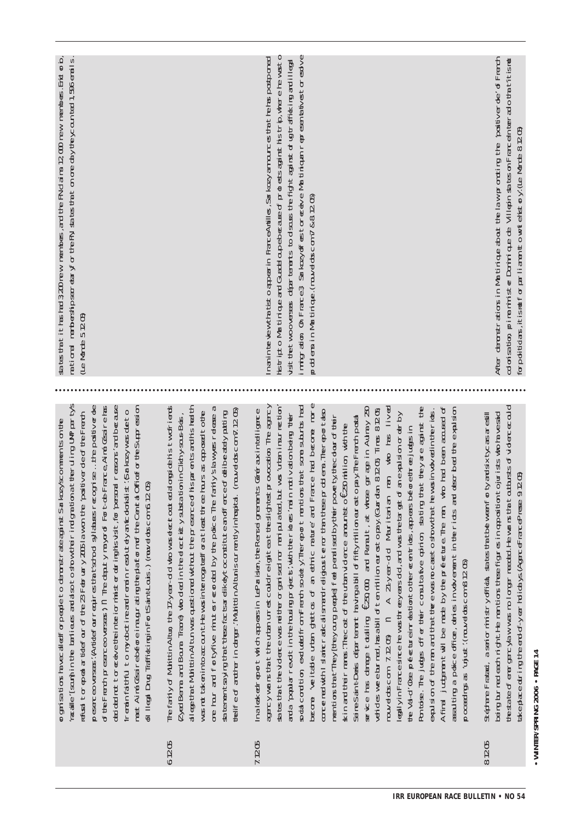postponed

 $\mathbf{e}$ wasto

d ug trafik ing an illea

estoresolv

problems in

Martinique.(nouv

elobs.com7

& 8.12.05)

e

 $CD$  rew membes. Ent  $\sigma$  b, membes. Erich $\sigma$ io, texcanted 1,566 erails.

socialcondition,excludedfrom French society'.Thereport mentionsthat some suburbs had become 'veritable urban ghettos of an ethnic nature'and France had become more concerned with Islamic radical ism and relidens terms than these orders. The report also withIslamicradic alismandreligiousterrorthanthese problems.Thereportalso mentionsthatThey[they mentions that They They curp people feel penalised by the rooke ty the colour of their people<sup>t</sup>ed peoplised bytheirpoverty,thecolouroftheir skin andtheirnames'.Thecostofthe urban violence amountsto €250million,withthe Seine-S aint-Denis département having a billoffifty million eurosto pay.The French postal<br>Boot service has damage totalling €250,000, and Renalt, at whose garage in Aulnay  $\overline{\mathcal{R}}$ vehicles were burned,has a billoften million eurosto pay.(Guardian 8.12.05;Times 8.12.05; nouv elobs.c මි<br>වි 7.12.05) n  $\prec$  $\geq$ ear-old Maritanian man, who has liv li∨⊕ legallyin F rancesince he wasthreey ears old,and wasthetargetofan expulsion orderby the Val-d'Oise  $p$ e $q$  treinreationt other  $\epsilon$  and tricts, appears beforethree judgs in Pontoise.The judges offer their consultativ e opinion, stating thatthey are against the expulsion ofthe man andthatthere was no c aseto show that he wasinvov ed in the ricts.  $\prec$ final judgementwillbe made by the prefecture.The man, who had been accused  $\varphi$ assaulting  $\varpi$ pdice officer, denes involv ementintheriots and described the expulsion proceedings as 'unjust' (now detector 8.1205) as 'unjust'.(nouv eldos.com 8.12.05)

8.12.05 Stéphane Fratadi, a seniorministry official,statesthatbetweenforty and sixtyc arsarestill being burned each night.He mentionsthese figuresin oppositiontojurists who havesaid the started even cylaw was no longer needed. He wans that outbursts of vidence could of energencylaw was nolongerneeded.He warsthatoutbursts ofviolencecould take place during the end-of-y earholidays.(AgenceFrancePresse 9.12.05)

• WINTER/SPRING 2006 • PAGE 14 **WINTER/SPRING 2006 • PAGE 14**

After demonstrations in Martinique aboutthelaw promoting the 'positiv erde' d<sup>-</sup>French colonisation, prime ministerDominique  $\bigoplus$ Villepin states **ති** FranceInterradiothat'itisnot forpoliticians,itisnotforparliamentto writehistory'.(Le Monde 8.12.05)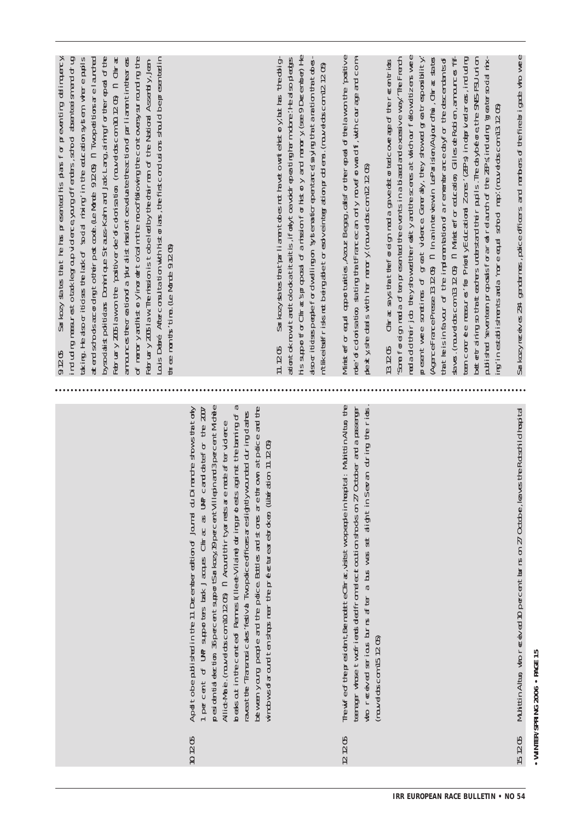| bysodalstpoliticans Dominique Strauss-Kam and Jak Lang, aining for the repeal of the<br>tking. Hedsportides telak of soda mixing the education system where pulls<br>aterd stroots according to the rpost code. (Le Morte 9205) n Two petitors are laurited<br>Fabriary 2005 law on the 'positiverde' of codorisation (rouvel doscon 10.1205) in Chinas<br>of meroryandhistory increational the mood following the contoversy surrounding the<br>Louis Debré Affercoraul tantion with historians, the first condusions should be presented in<br>ancunces theoreation of a 'puralistmission toevalua te theorition of parilianent in the areas<br>February 2005 law. Themission is to be led by the otal riman of the National Assembly, Jean-<br>${\sf tr}\oplus {\sf m}{\sf m}{\sf t}{\sf s}'$ the $({\sf le}$ Monde 9.12 ${\sf d}{\sf b}$ |                                                                                                                                                                                                                                                                                                                                                                                                                                                                                                                                                                                                                                                                                                  | hissuporfor Chracisproposal of anission for history and manory (see 9 December) He<br>$\frac{1}{2}$ and $\frac{1}{2}$ and $\frac{1}{2}$ are interpreted in the distance of $\frac{1}{2}$ and $\frac{1}{2}$<br>ationt ok rowit and tolooka titasitis, if only to avoidr open ting harm obre: He also pledges<br>-asocitiosspeope for dwelling on systemator epentance, saying that analton that obe-<br>n'tikei tafrisks not beingabet oresolvein tegration problems. (nouvel obscom 12 12 05)<br>11.1205 | Ministerfor ead apportuities, Azouz Beaga, calsfortherepel of the law on the 'positive<br>rde' of colorisation stating that Francecan only move forward fi, with courage and com-<br>dextyste deals with her memory (nouvel doscom 12 12 05)                                                  | saves. (muvel ascom 13 12 05) in Ministerfor education Gilles de Robien, announces fif-<br>medaddtheirjob theyshowedtherealty and the scenes at which our fellow dizens were<br>tatheisinfavour of the implementation of a remembrance oby for the descendents of<br>pulsed soletion propositional defined the $E$ sind up of $\theta$ as $\theta$ and $\theta$ in $x$ -<br>better taining so that earliers understand their publis. The day before, the SNES-FSU union<br>peartwee sometimes of great vidence Generaly, they showed great responsibility<br>AgreeFrancePresse 13 1205) n Inaninterviewin LeParisten/Aujourdhui, China sates<br>ten concrée meaures for PhortyEducational Zones (ZEPS) in deprivediareas, induding<br>Some foreign media of tenpresented the events in a blased and excessive way "The French<br>Chirac says that the foreign media gave deto the departic contricts<br>rg'in estatismentsarda 'rrore equal sotrod map' (muvelobs.com 13.1205)<br>13 1205 | Sarkozyneeives 234 gendemmes, police difficers and menters of the finetor igade who were |
|----------------------------------------------------------------------------------------------------------------------------------------------------------------------------------------------------------------------------------------------------------------------------------------------------------------------------------------------------------------------------------------------------------------------------------------------------------------------------------------------------------------------------------------------------------------------------------------------------------------------------------------------------------------------------------------------------------------------------------------------------------------------------------------------------------------------------------------------|--------------------------------------------------------------------------------------------------------------------------------------------------------------------------------------------------------------------------------------------------------------------------------------------------------------------------------------------------------------------------------------------------------------------------------------------------------------------------------------------------------------------------------------------------------------------------------------------------------------------------------------------------------------------------------------------------|----------------------------------------------------------------------------------------------------------------------------------------------------------------------------------------------------------------------------------------------------------------------------------------------------------------------------------------------------------------------------------------------------------------------------------------------------------------------------------------------------------|-----------------------------------------------------------------------------------------------------------------------------------------------------------------------------------------------------------------------------------------------------------------------------------------------|-------------------------------------------------------------------------------------------------------------------------------------------------------------------------------------------------------------------------------------------------------------------------------------------------------------------------------------------------------------------------------------------------------------------------------------------------------------------------------------------------------------------------------------------------------------------------------------------------------------------------------------------------------------------------------------------------------------------------------------------------------------------------------------------------------------------------------------------------------------------------------------------------------------------------------------------------------------------------------------------|------------------------------------------------------------------------------------------|
|                                                                                                                                                                                                                                                                                                                                                                                                                                                                                                                                                                                                                                                                                                                                                                                                                                              |                                                                                                                                                                                                                                                                                                                                                                                                                                                                                                                                                                                                                                                                                                  |                                                                                                                                                                                                                                                                                                                                                                                                                                                                                                          |                                                                                                                                                                                                                                                                                               |                                                                                                                                                                                                                                                                                                                                                                                                                                                                                                                                                                                                                                                                                                                                                                                                                                                                                                                                                                                           |                                                                                          |
|                                                                                                                                                                                                                                                                                                                                                                                                                                                                                                                                                                                                                                                                                                                                                                                                                                              | presidential election 36 percent suppor Sarkozy, 19 percent Villi epin and 3 percent Wildreie<br>to the cent of Remes ((lleet-Villane) dring protests against the barring of a<br>imanche shows that only<br>bewen yourg peple and the police Bottles and stores are thrown a tpolice and the<br>1 percent of UP supporters lack Jacques Chirac as UP candidate for the 2007<br>raeatte Transicaes feava Twopdiceofficesareslightlywouted duringdates<br>AlliotMate. (nouvelobs.com 10 12 05) in Around thir tyar restsare mate of tervidence<br>ation 11.1205)<br>windowsdfaround ten shops near the prefecture elaroken (liber<br>Apd tobe published in the 11 December ed tion of Jurnal cluD |                                                                                                                                                                                                                                                                                                                                                                                                                                                                                                          | Thewifeofthepresident BernachteChrac, visits two people in hospital: Muhittin Allun, the<br>who reaeved serious burns of ter a bus was set alight in Sevan during the ricks<br>terager whose two filents deal from electrocution shocks on 27 October and a passenge<br>(raweldoscom 15.12Cb) |                                                                                                                                                                                                                                                                                                                                                                                                                                                                                                                                                                                                                                                                                                                                                                                                                                                                                                                                                                                           | Muhttin Altin who reaked 10 parcent forns on 27 October, leaves the Rotschild hospital   |
|                                                                                                                                                                                                                                                                                                                                                                                                                                                                                                                                                                                                                                                                                                                                                                                                                                              | 101205                                                                                                                                                                                                                                                                                                                                                                                                                                                                                                                                                                                                                                                                                           |                                                                                                                                                                                                                                                                                                                                                                                                                                                                                                          | <b>2205</b>                                                                                                                                                                                                                                                                                   |                                                                                                                                                                                                                                                                                                                                                                                                                                                                                                                                                                                                                                                                                                                                                                                                                                                                                                                                                                                           | 151205                                                                                   |

9.12.05

including

.......

meaurestotacklegroup

Sarkozy

states that he

has

presented

violence,young

his

plans forpreventing

offenders,schoolabsenteeismand

delinquency,

drug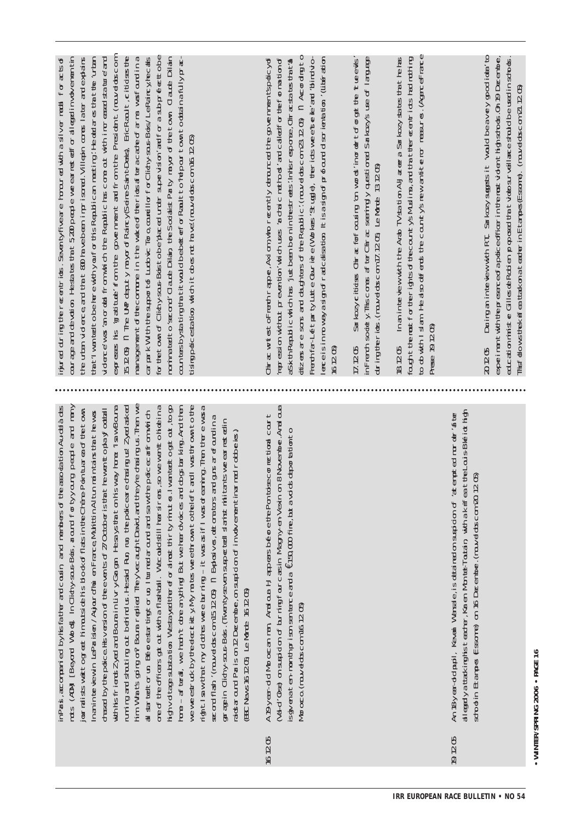| for the town of Clichy saus-Boist obe placed under supervision and for a subprefection obe<br>nominated to second Claude Dilain the Socialist Party mayor of the town Claude Dilain<br>counters by stating that it would be better for Rault to "repour to which a fully prace-<br>151205) n The UMP deputy mayor of Raincy (Seine-Saint-Denis) EricRault, citioses the<br>inured dring the resentricts. Seentyfive are homored with a silver medial for acts of<br>expresses his igratitute from the government and from the President (now eldoscom<br>carparkWith the support to Ludovic Toro, countil or for Clichy-sous-Bois/LeRaincy/necess<br>the urban vidence and that 800 havebeen imprisoned. Villepin comes later and explains<br>vidence was 'an or deal from which the Republic has cone out with increased statue and<br>$\alpha$ rage and de votion Hesta tes that 5,200 people whe earlied for all egad involvement in<br>tatiwantet obehere with you for ths Republican meding: He obdares that the lutan<br>management of the compute in the wake of the ricks of $\mathop{{\tt trace}}\nolimits_{\mathop{{\tt trace}}\nolimits_{\mathop{{\tt Hom}}\nolimits}}$ was found in a<br>tisimpotices at to middle to be not have (now does com 16 12 05)                                                                                                                                                                                                                                                                                                                                         | dizers are sons and daighters of the Republic! (nouved oscom 23 1205) in According to<br>Freeth far-LeftpartyLutte Quvriere (Workers Strugte), therrictsweerstelle/and 'blind vio-<br>China wrtest of reath rapper, Axi cm, who neen thy denounced the government spoticy of<br>repression without prevention' which uses 'arother' criterional called for the formation of<br>enceisinnowayasignofradcalsation Itisasignofprofound scrienation (Liberation<br>asix thRepublic which has 'justbeen bornin the streets'. Inhisreportes, Othracsta tes that tal<br>16 12 GD | inFrench soliety Thiscomes af ter Chirac seeningly questioned Sarkczy's use of language<br>during the richs. (mouvel doscom 17.12.05, Le Norde 13.12.05)<br>Striedy clitics Chirat for cousing on words inorder to forget the interevis<br>17.1205 | to do with I slam. He also defends the countrys new an it tenor measures. (Agence rance<br>Inanintervew with the Arab TV station Al-Jazera Sarkozy stries that he has<br>fount themst for the rights of the countys Muslims, and that the recent riots had nothing<br>Press 19.1205)<br>18 12 <b>55</b> | During an interview with RT. Sarkozy sugges it would beavey good idea' to<br>expeiment with the presence of a condicted filer in the most vident high stroks. On 19 December,<br>20205                                                                | education ministie Gilles de Rochien proposed that videosurveillance shuld be used in schools.<br>This dows the kit feat take on a teather in Eitames (Essame). (nowed obscom 21.1205) |
|---------------------------------------------------------------------------------------------------------------------------------------------------------------------------------------------------------------------------------------------------------------------------------------------------------------------------------------------------------------------------------------------------------------------------------------------------------------------------------------------------------------------------------------------------------------------------------------------------------------------------------------------------------------------------------------------------------------------------------------------------------------------------------------------------------------------------------------------------------------------------------------------------------------------------------------------------------------------------------------------------------------------------------------------------------------------------------------------------------------------------------------------------------------------------------------------------------------------------------------------------------------------------------------------------------------------------------------------------------------------------------------------------------------------------------------------------------------------------------------------------------------------------------------------------------------------------------------------------------------|---------------------------------------------------------------------------------------------------------------------------------------------------------------------------------------------------------------------------------------------------------------------------------------------------------------------------------------------------------------------------------------------------------------------------------------------------------------------------------------------------------------------------------------------------------------------------|----------------------------------------------------------------------------------------------------------------------------------------------------------------------------------------------------------------------------------------------------|---------------------------------------------------------------------------------------------------------------------------------------------------------------------------------------------------------------------------------------------------------------------------------------------------------|-------------------------------------------------------------------------------------------------------------------------------------------------------------------------------------------------------------------------------------------------------|----------------------------------------------------------------------------------------------------------------------------------------------------------------------------------------|
|                                                                                                                                                                                                                                                                                                                                                                                                                                                                                                                                                                                                                                                                                                                                                                                                                                                                                                                                                                                                                                                                                                                                                                                                                                                                                                                                                                                                                                                                                                                                                                                                               |                                                                                                                                                                                                                                                                                                                                                                                                                                                                                                                                                                           |                                                                                                                                                                                                                                                    |                                                                                                                                                                                                                                                                                                         |                                                                                                                                                                                                                                                       |                                                                                                                                                                                        |
| hin Whatsgoing on? Bouna replied They vecally tDavid, and they rechtaing us. Then we<br>[Beyord Words] In Clitchy-saus-Bots, around for tyyourg people and many<br>weweedruck by teedection yMy mates weethown to teleft and I was thrown to the<br>inPars, acompari ed byhisfa ther and cousin, and members of the association Au-delà des<br>ruming and shouting out betrind us. Hesaid Run run the policeare drasting us Zyed asked<br>ore of the officers got out with a flashtall. We could still har siners, so we went to hide in a<br>I wan tetto get out, to go<br>hore – af teal, we han't doe anything But we heardvoices and do gstarking. And then<br>wthisfierdsZyedardBourainLivryGargan Hesaystratonhswayhore "IsawBoura<br>rightlaw that my dothes wee burning - it was a if I was oreaning. Then there was a<br>our raists watt og eet hin outside his block of flats in the Chane-Pointuar as of the town<br>dread by the police Hs version of the even ts of 27 October is that he went to play footall<br>al started un Beforestarting torun, I turned around and saw the policecanfrom which<br>Inanin te vewin LeParisen /Ayjourd'Nu enFrance,MutittinAl tunnain tains that hewas<br>second flash ' (muvel obscom 15.1205) in Exposives, et one bas and guns arefount in a<br>garagein Clichy-sous-Bois. (Twentyse ven suspected) stanist nilli tan tswee ear rest edin<br>radsar curd Paris on 2December, on suspicion of involvement tinamed rodoberies.)<br>high vid tage substation. We stayed therefor almost thin tyminuties.<br>EBC News161205 Le Monde 161205)<br>$MMS$ $(MM)$ | (Aa-d'Ose) on supidon of burning four carsin Magny-en-Vexin on 8 November Amal oua<br>A 19-year-dolMoroccan many Amalouted that apears bénére the Pontoiscon net towal count<br>isqveraten-monthprisonsenterce and a €150,000 filre, but avd ds deportationto<br>Moroco. (rawelatscam 16 12 05)                                                                                                                                                                                                                                                                           |                                                                                                                                                                                                                                                    |                                                                                                                                                                                                                                                                                                         | allegadyattakinghsteader, Karen Montel-Toutain with a knfeat the Louis-Bleitothion<br>An 18-year-dolpubl, Kevani Wansele, is detained on suspicion of 'atempt ed nurder' fitter<br>strod in Etanpes Essorre) on 16 December. (rouvelabs.com 20 12 05) |                                                                                                                                                                                        |
|                                                                                                                                                                                                                                                                                                                                                                                                                                                                                                                                                                                                                                                                                                                                                                                                                                                                                                                                                                                                                                                                                                                                                                                                                                                                                                                                                                                                                                                                                                                                                                                                               | 1612C5                                                                                                                                                                                                                                                                                                                                                                                                                                                                                                                                                                    |                                                                                                                                                                                                                                                    |                                                                                                                                                                                                                                                                                                         | <b>19205</b>                                                                                                                                                                                                                                          |                                                                                                                                                                                        |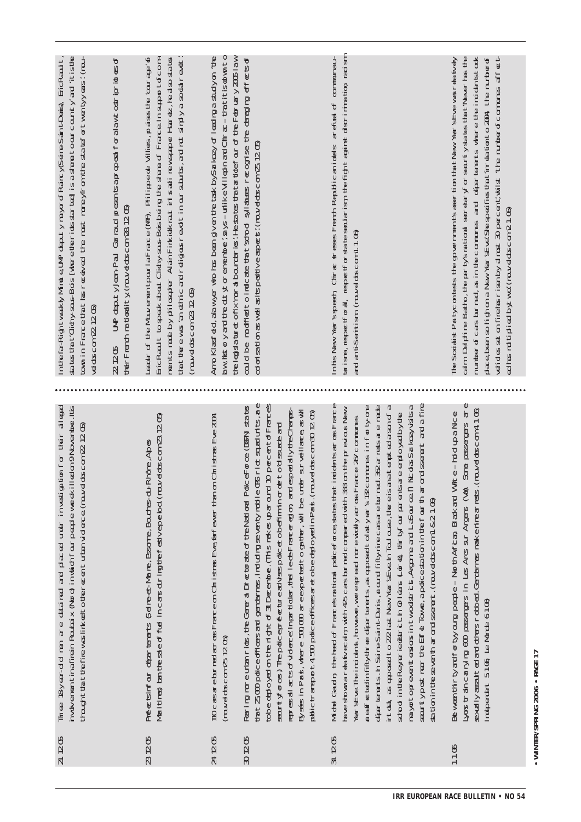| $\tan$ in Frace $\tan$ that ce exced the most mone yof on the state of twen tyyeas: ( $\tan$ -<br>stattClichysousBois [were teriossarte] isastametoourcountyand itiste<br>In te fa-Rightweek Wind e UMP deputy mayor of Raincy Seine-Sain t:Deis), EricRaoult,<br>Adtscom 22 12 05 | UP deputy ben-Pau Garraud presents aproposal for alawtostriprides of<br>therFrench rationality (rouvel obscom 28 12 05)<br><b>2225</b> | EricRault to speek about Clitchy-sous-Boisbeirg the share of France In support of com-<br>$\tan \theta$ there was 'an ethic and religious read tinour subuts, and not simply a solid read ."<br>eader of the Mouvement pour la France (MF), Philippede Villies, praises the 'courage' of<br>ments made by philosopher Alain Finklekraut in Israel newspaper Harrez, helalso stares<br>$(mu$ d $mcm 2226$ | $\frac{1}{2}$ and $\frac{1}{2}$ and $\frac{1}{2}$ for emember, says—utilke Villephard Chrac — $\frac{1}{2}$ that it is down to<br>Amo Klatsied, alaw yer who has been given the tax by Sarkozy of leading a study on 'the<br>the legislature of ixmoral boundaries. He star that the frour of the February 2005 law | could be modified to indcate that sorbod syllables recognise the danging effects of<br>dorisationaswellasitspositveapets: (muvelobs.com 25.1205)                                                                                                                                                                                                                                                                                                                                                                                                                                                                                                         | nhisNew Year's speech Chirac stresss French Republican lideals arefied of communau-<br>barisme, respectforal, respectforstate besudarism, the fight against discrimination, radism<br>and ant-Seritism (nouvel obscom 1.106)                                                                                                                                                                                                                                                                                                                                                                                                                                                                                                                                                                                                                                                                  | dening the main of the number of the state of the state of the top of the top of the top of the top of the top of the top of the top of the top of the top of the top of the top of the top of the top of the top of the top o<br>place, been so high on a New Year SE-ve! She specifies that time dator to 2004, the number of<br>calm Delphine Batto, the parity sartional secretary for searchly states that the local termine of the<br>number of casabried, as in the communes and other terms where the indidention of<br>The Socialist Party contests the opvernment's assertion that New Year's Eve was near ty dy<br>ed has multiplied by two: (nouvel doscom 21.06) |
|------------------------------------------------------------------------------------------------------------------------------------------------------------------------------------------------------------------------------------------------------------------------------------|----------------------------------------------------------------------------------------------------------------------------------------|----------------------------------------------------------------------------------------------------------------------------------------------------------------------------------------------------------------------------------------------------------------------------------------------------------------------------------------------------------------------------------------------------------|---------------------------------------------------------------------------------------------------------------------------------------------------------------------------------------------------------------------------------------------------------------------------------------------------------------------|----------------------------------------------------------------------------------------------------------------------------------------------------------------------------------------------------------------------------------------------------------------------------------------------------------------------------------------------------------------------------------------------------------------------------------------------------------------------------------------------------------------------------------------------------------------------------------------------------------------------------------------------------------|-----------------------------------------------------------------------------------------------------------------------------------------------------------------------------------------------------------------------------------------------------------------------------------------------------------------------------------------------------------------------------------------------------------------------------------------------------------------------------------------------------------------------------------------------------------------------------------------------------------------------------------------------------------------------------------------------------------------------------------------------------------------------------------------------------------------------------------------------------------------------------------------------|-------------------------------------------------------------------------------------------------------------------------------------------------------------------------------------------------------------------------------------------------------------------------------------------------------------------------------------------------------------------------------------------------------------------------------------------------------------------------------------------------------------------------------------------------------------------------------------------------------------------------------------------------------------------------------|
|                                                                                                                                                                                                                                                                                    |                                                                                                                                        |                                                                                                                                                                                                                                                                                                                                                                                                          |                                                                                                                                                                                                                                                                                                                     |                                                                                                                                                                                                                                                                                                                                                                                                                                                                                                                                                                                                                                                          |                                                                                                                                                                                                                                                                                                                                                                                                                                                                                                                                                                                                                                                                                                                                                                                                                                                                                               |                                                                                                                                                                                                                                                                                                                                                                                                                                                                                                                                                                                                                                                                               |
| Timee 18-year-do men are detained and placed under investigation for their alleged<br>hvolvementinafirein Roubaix (Nord) in which four people werek illed on 9 November. Its<br>thought that the fire was link out to the roan turban videore (rouved obscom 22 12 05)             |                                                                                                                                        | Mailtines) tan the select fuel incars during the feat veperiod (now dots com 23 1205)<br>Prée binfoir départements Sei re-et-Marie, Essorre, Boutes-du-Rhône, Abes                                                                                                                                                                                                                                       | 110 casare burned aross France on Christnas Eve farfewer than on Christnas Eve 2004<br>$(mu$ ddscom $25126$                                                                                                                                                                                                         | that 25,000 poidce officers and gendemes, including seven ty mobile ORS riot squad units, are<br>to be obed on each the right of 31 December. (This makes up around 10 percent of Frances<br>Faring moreutan rick, the General Director the National PoliceForce (DDFN) states<br>represail acts of vidence in particular, the leads rancer egion and especially the Champs-<br>Elysés in Paris, where 500,000 aree-poeted to gaither, will be under surveillance, as will<br>$\alpha$ blictrarsport4500 police officers are to be obtain Paris. (rouvel obscom 30 1205)<br>seurtyfores) Trepolicepréfectureadvissipolicet chefiminor de to dissuste and | Mide Gadh the head of Francesnational policeforce; shat that the indidenties of France<br>seurtypost near the Eiffe Towe, apdicestation in the fourth arrord seement and a fine<br>reaffectatinfifty three determinants, as opposed to lasty early 122 communes in for ty-one<br>daar tarants. In Seine-Saint-Deris, around fifty-rine-carsare burnad. 32 arrestsare made<br>intool, as apposed to 272 last New Year sEve in Toulouse, there is an alternoted arsun of a<br>mayortopreventeriors in two dstricts, Argame and LaSource: n Nicolas Sarkozy visitsa<br>take shown are the campion with 45 cars farmed compared with 333 on the previous New<br>stod inteReyeriedstricthCrleats (are) thrivfour parentare eminoyed by te<br>Yer side. The indident, however, we eep each more widely aross France 25 communes<br>station in the seventh arrord ssement. (rouvel doscom 1 & 21.06) | Some passages are<br>(rawedoscom4106<br>the-moupance<br>Between thir ty and for tyyourg people – Nor thAlfican, Black and W<br>Lyons train carrying 600 passengers in Les Arcs sur Argens (Vat)<br>sexally assulted and others robbed. Gendames make nine arrests.<br>Independent 5106 Le Monde 6106)                                                                                                                                                                                                                                                                                                                                                                         |
| 21. 12 05                                                                                                                                                                                                                                                                          |                                                                                                                                        | 23 12 05                                                                                                                                                                                                                                                                                                                                                                                                 | 24 12 05                                                                                                                                                                                                                                                                                                            | 30205                                                                                                                                                                                                                                                                                                                                                                                                                                                                                                                                                                                                                                                    | 31, 12 05                                                                                                                                                                                                                                                                                                                                                                                                                                                                                                                                                                                                                                                                                                                                                                                                                                                                                     | 110                                                                                                                                                                                                                                                                                                                                                                                                                                                                                                                                                                                                                                                                           |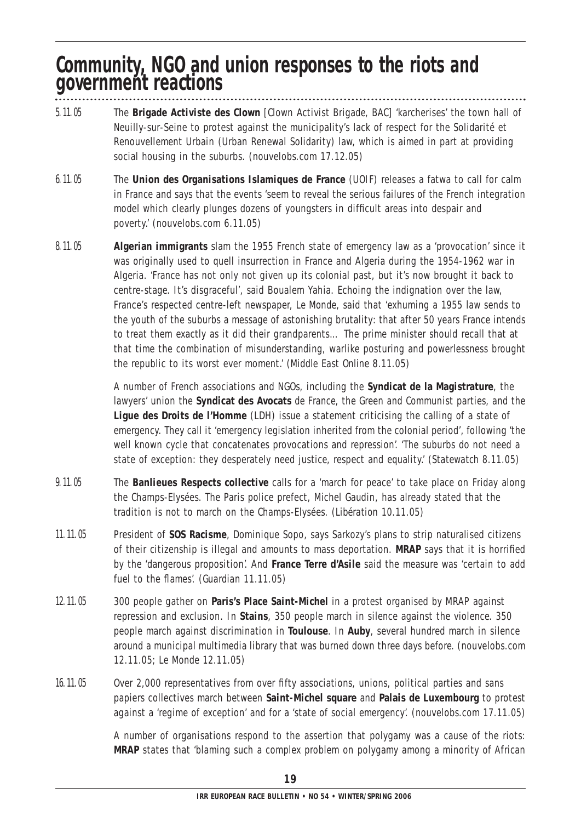#### **Community, NGO and union responses to the riots and government reactions**

- 5.11.05 The **Brigade Activiste des Clown** [Clown Activist Brigade, BAC] 'karcherises' the town hall of Neuilly-sur-Seine to protest against the municipality's lack of respect for the Solidarité et Renouvellement Urbain (Urban Renewal Solidarity) law, which is aimed in part at providing social housing in the suburbs. (nouvelobs.com 17.12.05)
- 6.11.05 The **Union des Organisations Islamiques de France** (UOIF) releases a fatwa to call for calm in France and says that the events 'seem to reveal the serious failures of the French integration model which clearly plunges dozens of youngsters in difficult areas into despair and poverty.' (nouvelobs.com 6.11.05)
- 8.11.05 **Algerian immigrants** slam the 1955 French state of emergency law as a 'provocation' since it was originally used to quell insurrection in France and Algeria during the 1954-1962 war in Algeria. 'France has not only not given up its colonial past, but it's now brought it back to centre-stage. It's disgraceful', said Boualem Yahia. Echoing the indignation over the law, France's respected centre-left newspaper, *Le Monde*, said that 'exhuming a 1955 law sends to the youth of the suburbs a message of astonishing brutality: that after 50 years France intends to treat them exactly as it did their grandparents… The prime minister should recall that at that time the combination of misunderstanding, warlike posturing and powerlessness brought the republic to its worst ever moment.' (*Middle East Online* 8.11.05)

A number of French associations and NGOs, including the **Syndicat de la Magistrature**, the lawyers' union the **Syndicat des Avocats** de France, the Green and Communist parties, and the **Ligue des Droits de l'Homme** (LDH) issue a statement criticising the calling of a state of emergency. They call it 'emergency legislation inherited from the colonial period', following 'the well known cycle that concatenates provocations and repression'. 'The suburbs do not need a state of exception: they desperately need justice, respect and equality.' (*Statewatch* 8.11.05)

- 9.11.05 The **Banlieues Respects collective** calls for a 'march for peace' to take place on Friday along the Champs-Elysées. The Paris police prefect, Michel Gaudin, has already stated that the tradition is not to march on the Champs-Elysées. (*Libération* 10.11.05)
- 11.11.05 President of **SOS Racisme**, Dominique Sopo, says Sarkozy's plans to strip naturalised citizens of their citizenship is illegal and amounts to mass deportation. **MRAP** says that it is horrified by the 'dangerous proposition'. And **France Terre d'Asile** said the measure was 'certain to add fuel to the flames'. (*Guardian* 11.11.05)
- 12.11.05 300 people gather on **Paris's Place Saint-Michel** in a protest organised by MRAP against repression and exclusion. In **Stains**, 350 people march in silence against the violence. 350 people march against discrimination in **Toulouse**. In **Auby**, several hundred march in silence around a municipal multimedia library that was burned down three days before. (nouvelobs.com 12.11.05; *Le Monde* 12.11.05)
- 16.11.05 Over 2,000 representatives from over fifty associations, unions, political parties and sans papiers collectives march between **Saint-Michel square** and **Palais de Luxembourg** to protest against a 'regime of exception' and for a 'state of social emergency'. (nouvelobs.com 17.11.05)

A number of organisations respond to the assertion that polygamy was a cause of the riots: **MRAP** states that 'blaming such a complex problem on polygamy among a minority of African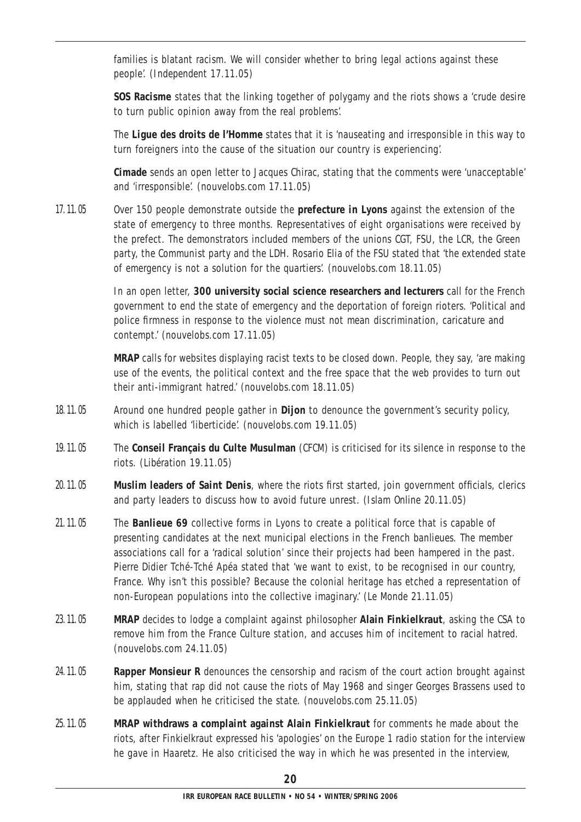families is blatant racism. We will consider whether to bring legal actions against these people'. (*Independent* 17.11.05)

**SOS Racisme** states that the linking together of polygamy and the riots shows a 'crude desire to turn public opinion away from the real problems'.

The **Ligue des droits de l'Homme** states that it is 'nauseating and irresponsible in this way to turn foreigners into the cause of the situation our country is experiencing'.

**Cimade** sends an open letter to Jacques Chirac, stating that the comments were 'unacceptable' and 'irresponsible'. (nouvelobs.com 17.11.05)

17.11.05 Over 150 people demonstrate outside the **prefecture in Lyons** against the extension of the state of emergency to three months. Representatives of eight organisations were received by the prefect. The demonstrators included members of the unions CGT, FSU, the LCR, the Green party, the Communist party and the LDH. Rosario Elia of the FSU stated that 'the extended state of emergency is not a solution for the *quartiers*'. (nouvelobs.com 18.11.05)

> In an open letter, **300 university social science researchers and lecturers** call for the French government to end the state of emergency and the deportation of foreign rioters. 'Political and police firmness in response to the violence must not mean discrimination, caricature and contempt.' (nouvelobs.com 17.11.05)

> **MRAP** calls for websites displaying racist texts to be closed down. People, they say, 'are making use of the events, the political context and the free space that the web provides to turn out their anti-immigrant hatred.' (nouvelobs.com 18.11.05)

- 18.11.05 Around one hundred people gather in **Dijon** to denounce the government's security policy, which is labelled 'liberticide'. (nouvelobs.com 19.11.05)
- 19.11.05 The **Conseil Français du Culte Musulman** (CFCM) is criticised for its silence in response to the riots. (*Libération* 19.11.05)
- 20.11.05 **Muslim leaders of Saint Denis**, where the riots first started, join government officials, clerics and party leaders to discuss how to avoid future unrest. (*Islam Online* 20.11.05)
- 21.11.05 The **Banlieue 69** collective forms in Lyons to create a political force that is capable of presenting candidates at the next municipal elections in the French *banlieues*. The member associations call for a 'radical solution' since their projects had been hampered in the past. Pierre Didier Tché-Tché Apéa stated that 'we want to exist, to be recognised in our country, France. Why isn't this possible? Because the colonial heritage has etched a representation of non-European populations into the collective imaginary.' (*Le Monde* 21.11.05)
- 23.11.05 **MRAP** decides to lodge a complaint against philosopher **Alain Finkielkraut**, asking the CSA to remove him from the France Culture station, and accuses him of incitement to racial hatred. (nouvelobs.com 24.11.05)
- 24.11.05 **Rapper Monsieur R** denounces the censorship and racism of the court action brought against him, stating that rap did not cause the riots of May 1968 and singer Georges Brassens used to be applauded when he criticised the state. (nouvelobs.com 25.11.05)
- 25.11.05 **MRAP withdraws a complaint against Alain Finkielkraut** for comments he made about the riots, after Finkielkraut expressed his 'apologies' on the Europe 1 radio station for the interview he gave in *Haaretz*. He also criticised the way in which he was presented in the interview,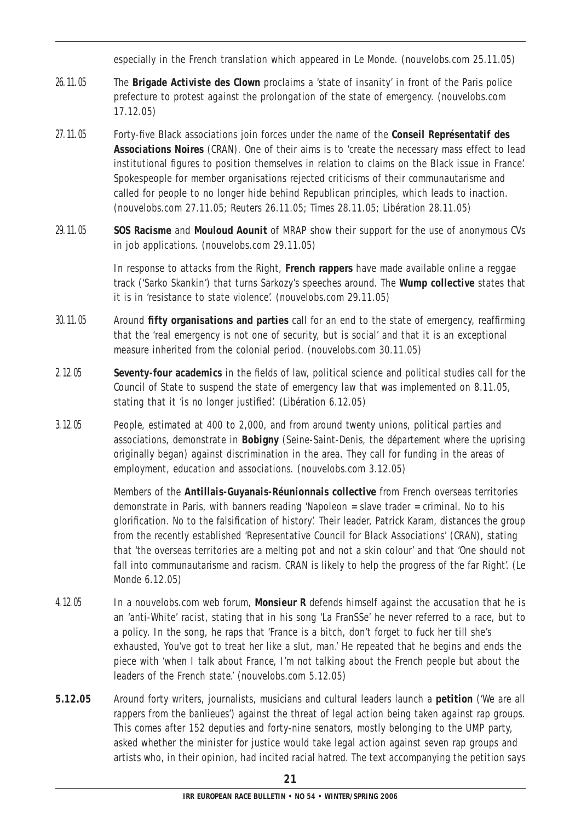especially in the French translation which appeared in *Le Monde*. (nouvelobs.com 25.11.05)

- 26.11.05 The **Brigade Activiste des Clown** proclaims a 'state of insanity' in front of the Paris police prefecture to protest against the prolongation of the state of emergency. (nouvelobs.com 17.12.05)
- 27.11.05 Forty-five Black associations join forces under the name of the **Conseil Représentatif des Associations Noires** (CRAN). One of their aims is to 'create the necessary mass effect to lead institutional figures to position themselves in relation to claims on the Black issue in France'. Spokespeople for member organisations rejected criticisms of their *communautarisme* and called for people to no longer hide behind Republican principles, which leads to inaction. (nouvelobs.com 27.11.05; *Reuters* 26.11.05; *Times* 28.11.05; *Libération* 28.11.05)
- 29.11.05 **SOS Racisme** and **Mouloud Aounit** of MRAP show their support for the use of anonymous CVs in job applications. (nouvelobs.com 29.11.05)

In response to attacks from the Right, **French rappers** have made available online a reggae track ('Sarko Skankin') that turns Sarkozy's speeches around. The **Wump collective** states that it is in 'resistance to state violence'. (nouvelobs.com 29.11.05)

- 30.11.05 Around **fifty organisations and parties** call for an end to the state of emergency, reaffirming that the 'real emergency is not one of security, but is social' and that it is an exceptional measure inherited from the colonial period. (nouvelobs.com 30.11.05)
- 2.12.05 **Seventy-four academics** in the fields of law, political science and political studies call for the Council of State to suspend the state of emergency law that was implemented on 8.11.05, stating that it 'is no longer justified'. (*Libération* 6.12.05)
- 3.12.05 People, estimated at 400 to 2,000, and from around twenty unions, political parties and associations, demonstrate in **Bobigny** (Seine-Saint-Denis, the *département* where the uprising originally began) against discrimination in the area. They call for funding in the areas of employment, education and associations. (nouvelobs.com 3.12.05)

Members of the **Antillais-Guyanais-Réunionnais collective** from French overseas territories demonstrate in Paris, with banners reading 'Napoleon = slave trader = criminal. No to his glorification. No to the falsification of history'. Their leader, Patrick Karam, distances the group from the recently established 'Representative Council for Black Associations' (CRAN), stating that 'the overseas territories are a melting pot and not a skin colour' and that 'One should not fall into *communautarisme* and racism. CRAN is likely to help the progress of the far Right'. (*Le Monde* 6.12.05)

- 4.12.05 In a nouvelobs.com web forum, **Monsieur R** defends himself against the accusation that he is an 'anti-White' racist, stating that in his song 'La FranSSe' he never referred to a race, but to a policy. In the song, he raps that 'France is a bitch, don't forget to fuck her till she's exhausted, You've got to treat her like a slut, man.' He repeated that he begins and ends the piece with 'when I talk about France, I'm not talking about the French people but about the leaders of the French state.' (nouvelobs.com 5.12.05)
- **5.12.05** Around forty writers, journalists, musicians and cultural leaders launch a **petition** ('We are all rappers from the *banlieues*') against the threat of legal action being taken against rap groups. This comes after 152 deputies and forty-nine senators, mostly belonging to the UMP party, asked whether the minister for justice would take legal action against seven rap groups and artists who, in their opinion, had incited racial hatred. The text accompanying the petition says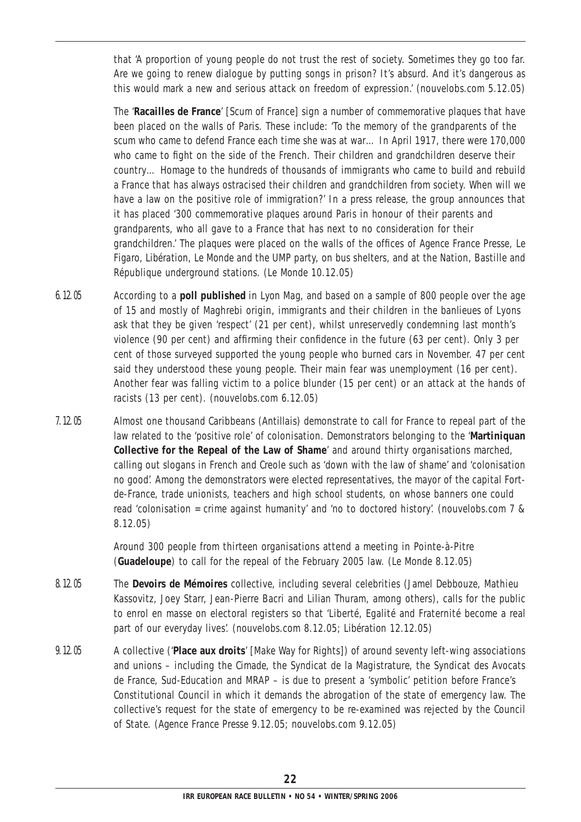that 'A proportion of young people do not trust the rest of society. Sometimes they go too far. Are we going to renew dialogue by putting songs in prison? It's absurd. And it's dangerous as this would mark a new and serious attack on freedom of expression.' (nouvelobs.com 5.12.05)

The '**Racailles de France**' [Scum of France] sign a number of commemorative plaques that have been placed on the walls of Paris. These include: 'To the memory of the grandparents of the scum who came to defend France each time she was at war… In April 1917, there were 170,000 who came to fight on the side of the French. Their children and grandchildren deserve their country… Homage to the hundreds of thousands of immigrants who came to build and rebuild a France that has always ostracised their children and grandchildren from society. When will we have a law on the positive role of immigration?' In a press release, the group announces that it has placed '300 commemorative plaques around Paris in honour of their parents and grandparents, who all gave to a France that has next to no consideration for their grandchildren.' The plaques were placed on the walls of the offices of *Agence France Presse*, *Le Figaro*, *Libération*, *Le Monde* and the UMP party, on bus shelters, and at the Nation, Bastille and République underground stations. (*Le Monde* 10.12.05)

- 6.12.05 According to a **poll published** in *Lyon Mag*, and based on a sample of 800 people over the age of 15 and mostly of Maghrebi origin, immigrants and their children in the *banlieues* of Lyons ask that they be given 'respect' (21 per cent), whilst unreservedly condemning last month's violence (90 per cent) and affirming their confidence in the future (63 per cent). Only 3 per cent of those surveyed supported the young people who burned cars in November. 47 per cent said they understood these young people. Their main fear was unemployment (16 per cent). Another fear was falling victim to a police blunder (15 per cent) or an attack at the hands of racists (13 per cent). (nouvelobs.com 6.12.05)
- 7.12.05 Almost one thousand Caribbeans (*Antillais*) demonstrate to call for France to repeal part of the law related to the 'positive role' of colonisation. Demonstrators belonging to the '**Martiniquan Collective for the Repeal of the Law of Shame**' and around thirty organisations marched, calling out slogans in French and Creole such as 'down with the law of shame' and 'colonisation no good'. Among the demonstrators were elected representatives, the mayor of the capital Fortde-France, trade unionists, teachers and high school students, on whose banners one could read 'colonisation = crime against humanity' and 'no to doctored history'. (nouvelobs.com 7 & 8.12.05)

Around 300 people from thirteen organisations attend a meeting in Pointe-à-Pitre (**Guadeloupe**) to call for the repeal of the February 2005 law. (*Le Monde* 8.12.05)

- 8.12.05 The **Devoirs de Mémoires** collective, including several celebrities (Jamel Debbouze, Mathieu Kassovitz, Joey Starr, Jean-Pierre Bacri and Lilian Thuram, among others), calls for the public to enrol en masse on electoral registers so that 'Liberté, Egalité and Fraternité become a real part of our everyday lives'. (nouvelobs.com 8.12.05; *Libération* 12.12.05)
- 9.12.05 A collective ('**Place aux droits**' [Make Way for Rights]) of around seventy left-wing associations and unions – including the Cimade, the Syndicat de la Magistrature, the Syndicat des Avocats de France, Sud-Education and MRAP – is due to present a 'symbolic' petition before France's Constitutional Council in which it demands the abrogation of the state of emergency law. The collective's request for the state of emergency to be re-examined was rejected by the Council of State. (*Agence France Presse* 9.12.05; nouvelobs.com 9.12.05)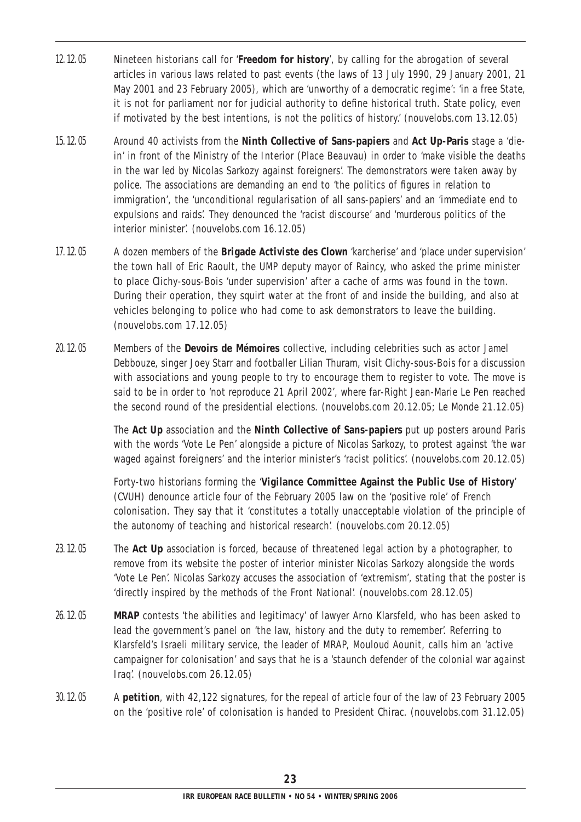- 12.12.05 Nineteen historians call for '**Freedom for history**', by calling for the abrogation of several articles in various laws related to past events (the laws of 13 July 1990, 29 January 2001, 21 May 2001 and 23 February 2005), which are 'unworthy of a democratic regime': 'in a free State, it is not for parliament nor for judicial authority to define historical truth. State policy, even if motivated by the best intentions, is not the politics of history.' (nouvelobs.com 13.12.05)
- 15.12.05 Around 40 activists from the **Ninth Collective of Sans-papiers** and **Act Up-Paris** stage a 'diein' in front of the Ministry of the Interior (Place Beauvau) in order to 'make visible the deaths in the war led by Nicolas Sarkozy against foreigners'. The demonstrators were taken away by police. The associations are demanding an end to 'the politics of figures in relation to immigration', the 'unconditional regularisation of all sans-papiers' and an 'immediate end to expulsions and raids'. They denounced the 'racist discourse' and 'murderous politics of the interior minister'. (nouvelobs.com 16.12.05)
- 17.12.05 A dozen members of the **Brigade Activiste des Clown** 'karcherise' and 'place under supervision' the town hall of Eric Raoult, the UMP deputy mayor of Raincy, who asked the prime minister to place Clichy-sous-Bois 'under supervision' after a cache of arms was found in the town. During their operation, they squirt water at the front of and inside the building, and also at vehicles belonging to police who had come to ask demonstrators to leave the building. (nouvelobs.com 17.12.05)
- 20.12.05 Members of the **Devoirs de Mémoires** collective, including celebrities such as actor Jamel Debbouze, singer Joey Starr and footballer Lilian Thuram, visit Clichy-sous-Bois for a discussion with associations and young people to try to encourage them to register to vote. The move is said to be in order to 'not reproduce 21 April 2002', where far-Right Jean-Marie Le Pen reached the second round of the presidential elections. (nouvelobs.com 20.12.05; *Le Monde* 21.12.05)

The **Act Up** association and the **Ninth Collective of Sans-papiers** put up posters around Paris with the words 'Vote Le Pen' alongside a picture of Nicolas Sarkozy, to protest against 'the war waged against foreigners' and the interior minister's 'racist politics'. (nouvelobs.com 20.12.05)

Forty-two historians forming the '**Vigilance Committee Against the Public Use of History**' (CVUH) denounce article four of the February 2005 law on the 'positive role' of French colonisation. They say that it 'constitutes a totally unacceptable violation of the principle of the autonomy of teaching and historical research'. (nouvelobs.com 20.12.05)

- 23.12.05 The **Act Up** association is forced, because of threatened legal action by a photographer, to remove from its website the poster of interior minister Nicolas Sarkozy alongside the words 'Vote Le Pen'. Nicolas Sarkozy accuses the association of 'extremism', stating that the poster is 'directly inspired by the methods of the Front National'. (nouvelobs.com 28.12.05)
- 26.12.05 **MRAP** contests 'the abilities and legitimacy' of lawyer Arno Klarsfeld, who has been asked to lead the government's panel on 'the law, history and the duty to remember'. Referring to Klarsfeld's Israeli military service, the leader of MRAP, Mouloud Aounit, calls him an 'active campaigner for colonisation' and says that he is a 'staunch defender of the colonial war against Iraq'. (nouvelobs.com 26.12.05)
- 30.12.05 A **petition**, with 42,122 signatures, for the repeal of article four of the law of 23 February 2005 on the 'positive role' of colonisation is handed to President Chirac. (nouvelobs.com 31.12.05)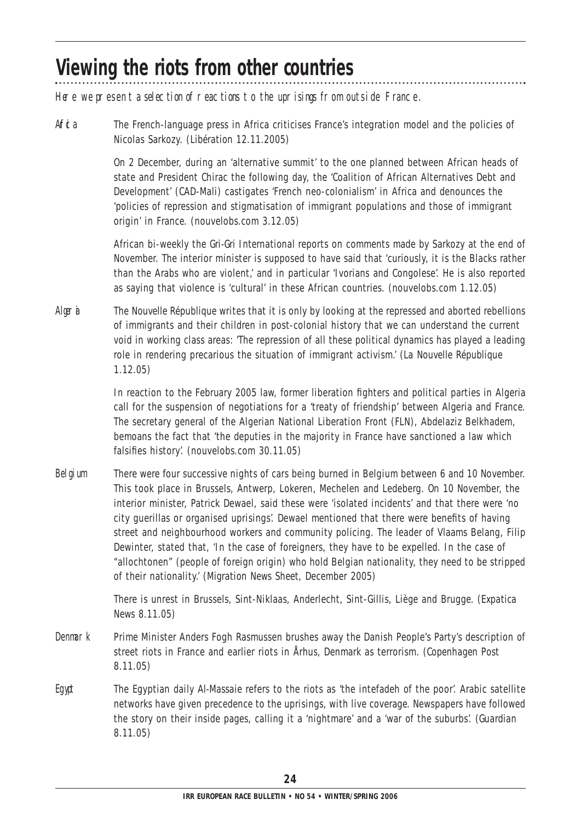### **Viewing the riots from other countries**

Here we present a selection of reactions to the uprisings from outside France.

Afthermorrelanguage press in Africa criticises France's integration model and the policies of Nicolas Sarkozy. (*Libération* 12.11.2005)

> On 2 December, during an 'alternative summit' to the one planned between African heads of state and President Chirac the following day, the 'Coalition of African Alternatives Debt and Development' (CAD-Mali) castigates 'French neo-colonialism' in Africa and denounces the 'policies of repression and stigmatisation of immigrant populations and those of immigrant origin' in France. (nouvelobs.com 3.12.05)

African bi-weekly the *Gri-Gri International* reports on comments made by Sarkozy at the end of November. The interior minister is supposed to have said that 'curiously, it is the Blacks rather than the Arabs who are violent,' and in particular 'Ivorians and Congolese'. He is also reported as saying that violence is 'cultural' in these African countries. (nouvelobs.com 1.12.05)

Algeria The *Nouvelle République* writes that it is only by looking at the repressed and aborted rebellions of immigrants and their children in post-colonial history that we can understand the current void in working class areas: 'The repression of all these political dynamics has played a leading role in rendering precarious the situation of immigrant activism.' (*La Nouvelle République* 1.12.05)

> In reaction to the February 2005 law, former liberation fighters and political parties in Algeria call for the suspension of negotiations for a 'treaty of friendship' between Algeria and France. The secretary general of the Algerian National Liberation Front (FLN), Abdelaziz Belkhadem, bemoans the fact that 'the deputies in the majority in France have sanctioned a law which falsifies history'. (nouvelobs.com 30.11.05)

Belgium There were four successive nights of cars being burned in Belgium between 6 and 10 November. This took place in Brussels, Antwerp, Lokeren, Mechelen and Ledeberg. On 10 November, the interior minister, Patrick Dewael, said these were 'isolated incidents' and that there were 'no city guerillas or organised uprisings'. Dewael mentioned that there were benefits of having street and neighbourhood workers and community policing. The leader of Vlaams Belang, Filip Dewinter, stated that, 'In the case of foreigners, they have to be expelled. In the case of "allochtonen" (people of foreign origin) who hold Belgian nationality, they need to be stripped of their nationality.' (*Migration News Sheet*, December 2005)

> There is unrest in Brussels, Sint-Niklaas, Anderlecht, Sint-Gillis, Liège and Brugge. (*Expatica News* 8.11.05)

- Denmark Prime Minister Anders Fogh Rasmussen brushes away the Danish People's Party's description of street riots in France and earlier riots in Århus, Denmark as terrorism. (*Copenhagen Post* 8.11.05)
- Egypt The Egyptian daily *Al-Massaie* refers to the riots as 'the intefadeh of the poor'. Arabic satellite networks have given precedence to the uprisings, with live coverage. Newspapers have followed the story on their inside pages, calling it a 'nightmare' and a 'war of the suburbs'. (*Guardian*  8.11.05)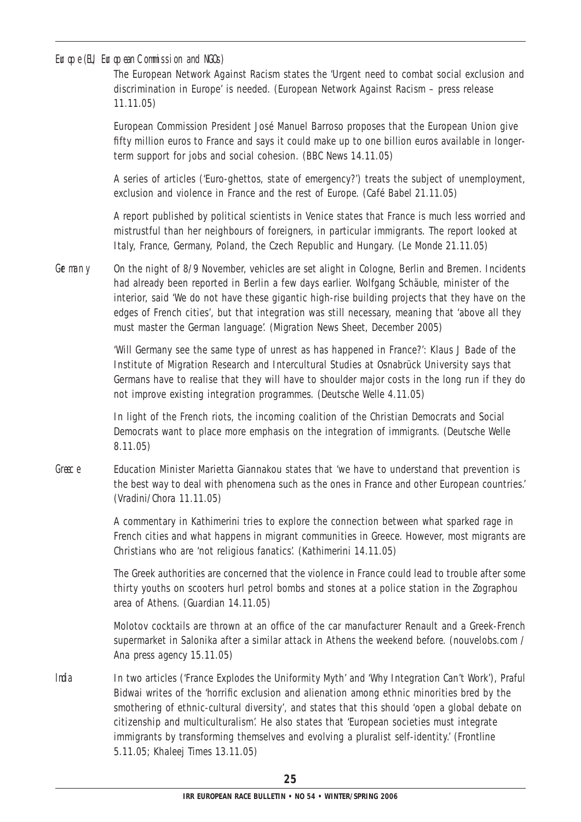#### Europe (EU, European Commission and NGOs)

The European Network Against Racism states the 'Urgent need to combat social exclusion and discrimination in Europe' is needed. (European Network Against Racism – press release 11.11.05)

European Commission President José Manuel Barroso proposes that the European Union give fifty million euros to France and says it could make up to one billion euros available in longerterm support for jobs and social cohesion. (*BBC News* 14.11.05)

A series of articles ('Euro-ghettos, state of emergency?') treats the subject of unemployment, exclusion and violence in France and the rest of Europe. (*Café Babel* 21.11.05)

A report published by political scientists in Venice states that France is much less worried and mistrustful than her neighbours of foreigners, in particular immigrants. The report looked at Italy, France, Germany, Poland, the Czech Republic and Hungary. (*Le Monde* 21.11.05)

Germany On the night of 8/9 November, vehicles are set alight in Cologne, Berlin and Bremen. Incidents had already been reported in Berlin a few days earlier. Wolfgang Schäuble, minister of the interior, said 'We do not have these gigantic high-rise building projects that they have on the edges of French cities', but that integration was still necessary, meaning that 'above all they must master the German language'. (*Migration News Sheet*, December 2005)

> 'Will Germany see the same type of unrest as has happened in France?': Klaus J Bade of the Institute of Migration Research and Intercultural Studies at Osnabrück University says that Germans have to realise that they will have to shoulder major costs in the long run if they do not improve existing integration programmes. (*Deutsche Welle* 4.11.05)

In light of the French riots, the incoming coalition of the Christian Democrats and Social Democrats want to place more emphasis on the integration of immigrants. (*Deutsche Welle*  8.11.05)

Greece Education Minister Marietta Giannakou states that 'we have to understand that prevention is the best way to deal with phenomena such as the ones in France and other European countries.' (*Vradini*/*Chora* 11.11.05)

> A commentary in *Kathimerini* tries to explore the connection between what sparked rage in French cities and what happens in migrant communities in Greece. However, most migrants are Christians who are 'not religious fanatics'. (*Kathimerini* 14.11.05)

> The Greek authorities are concerned that the violence in France could lead to trouble after some thirty youths on scooters hurl petrol bombs and stones at a police station in the Zographou area of Athens. (*Guardian* 14.11.05)

> Molotov cocktails are thrown at an office of the car manufacturer Renault and a Greek-French supermarket in Salonika after a similar attack in Athens the weekend before. (nouvelobs.com / *Ana press agency* 15.11.05)

India In two articles ('France Explodes the Uniformity Myth' and 'Why Integration Can't Work'), Praful Bidwai writes of the 'horrific exclusion and alienation among ethnic minorities bred by the smothering of ethnic-cultural diversity', and states that this should 'open a global debate on citizenship and multiculturalism'. He also states that 'European societies must integrate immigrants by transforming themselves and evolving a pluralist self-identity.' (*Frontline* 5.11.05; *Khaleej Times* 13.11.05)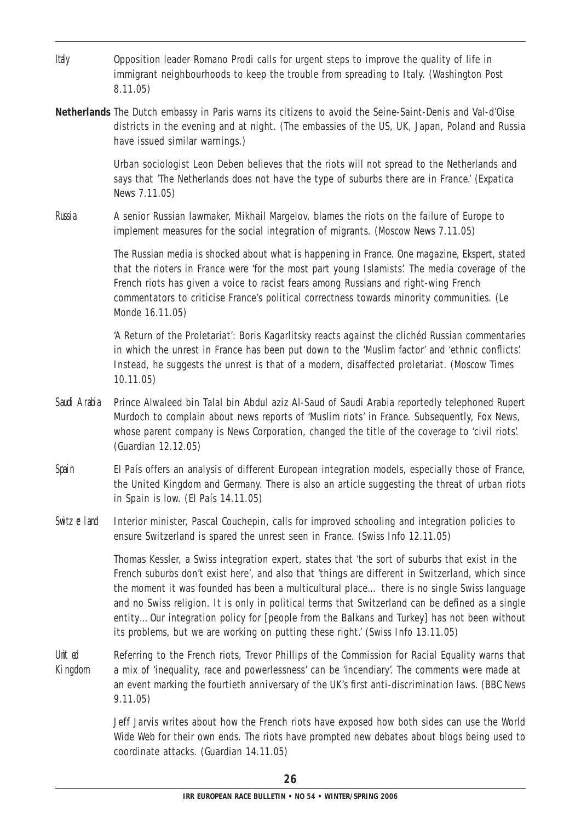| ltay               | Opposition leader Romano Prodi calls for urgent steps to improve the quality of life in<br>immigrant neighbourhoods to keep the trouble from spreading to Italy. (Washington Post<br>8.11.05)                                                                                                                                                                                                                                                                                                                                                                                          |
|--------------------|----------------------------------------------------------------------------------------------------------------------------------------------------------------------------------------------------------------------------------------------------------------------------------------------------------------------------------------------------------------------------------------------------------------------------------------------------------------------------------------------------------------------------------------------------------------------------------------|
|                    | Netherlands The Dutch embassy in Paris warns its citizens to avoid the Seine-Saint-Denis and Val-d'Oise<br>districts in the evening and at night. (The embassies of the US, UK, Japan, Poland and Russia<br>have issued similar warnings.)                                                                                                                                                                                                                                                                                                                                             |
|                    | Urban sociologist Leon Deben believes that the riots will not spread to the Netherlands and<br>says that 'The Netherlands does not have the type of suburbs there are in France.' (Expatica<br>News 7.11.05)                                                                                                                                                                                                                                                                                                                                                                           |
| Russia             | A senior Russian lawmaker, Mikhail Margelov, blames the riots on the failure of Europe to<br>implement measures for the social integration of migrants. (Moscow News 7.11.05)                                                                                                                                                                                                                                                                                                                                                                                                          |
|                    | The Russian media is shocked about what is happening in France. One magazine, Ekspert, stated<br>that the rioters in France were 'for the most part young Islamists'. The media coverage of the<br>French riots has given a voice to racist fears among Russians and right-wing French<br>commentators to criticise France's political correctness towards minority communities. (Le<br>Monde 16.11.05)                                                                                                                                                                                |
|                    | 'A Return of the Proletariat': Boris Kagarlitsky reacts against the clichéd Russian commentaries<br>in which the unrest in France has been put down to the 'Muslim factor' and 'ethnic conflicts'.<br>Instead, he suggests the unrest is that of a modern, disaffected proletariat. (Moscow Times<br>10.11.05                                                                                                                                                                                                                                                                          |
| Sad Araba          | Prince Alwaleed bin Talal bin Abdul aziz Al-Saud of Saudi Arabia reportedly telephoned Rupert<br>Murdoch to complain about news reports of 'Muslim riots' in France. Subsequently, Fox News,<br>whose parent company is News Corporation, changed the title of the coverage to 'civil riots'.<br>(Guardian 12.12.05)                                                                                                                                                                                                                                                                   |
| Spain              | El País offers an analysis of different European integration models, especially those of France,<br>the United Kingdom and Germany. There is also an article suggesting the threat of urban riots<br>in Spain is low. $(El \text{ País } 14.11.05)$                                                                                                                                                                                                                                                                                                                                    |
| Switzeland         | Interior minister, Pascal Couchepin, calls for improved schooling and integration policies to<br>ensure Switzerland is spared the unrest seen in France. (Swiss Info 12.11.05)                                                                                                                                                                                                                                                                                                                                                                                                         |
|                    | Thomas Kessler, a Swiss integration expert, states that 'the sort of suburbs that exist in the<br>French suburbs don't exist here', and also that 'things are different in Switzerland, which since<br>the moment it was founded has been a multicultural place there is no single Swiss language<br>and no Swiss religion. It is only in political terms that Switzerland can be defined as a single<br>entityOur integration policy for [people from the Balkans and Turkey] has not been without<br>its problems, but we are working on putting these right.' (Swiss Info 13.11.05) |
| Unit ed<br>Kingdom | Referring to the French riots, Trevor Phillips of the Commission for Racial Equality warns that<br>a mix of 'inequality, race and powerlessness' can be 'incendiary'. The comments were made at<br>an event marking the fourtieth anniversary of the UK's first anti-discrimination laws. (BBC News<br>9.11.05)                                                                                                                                                                                                                                                                        |
|                    | Jeff Jarvis writes about how the French riots have exposed how both sides can use the World                                                                                                                                                                                                                                                                                                                                                                                                                                                                                            |

Wide Web for their own ends. The riots have prompted new debates about blogs being used to coordinate attacks. (*Guardian* 14.11.05)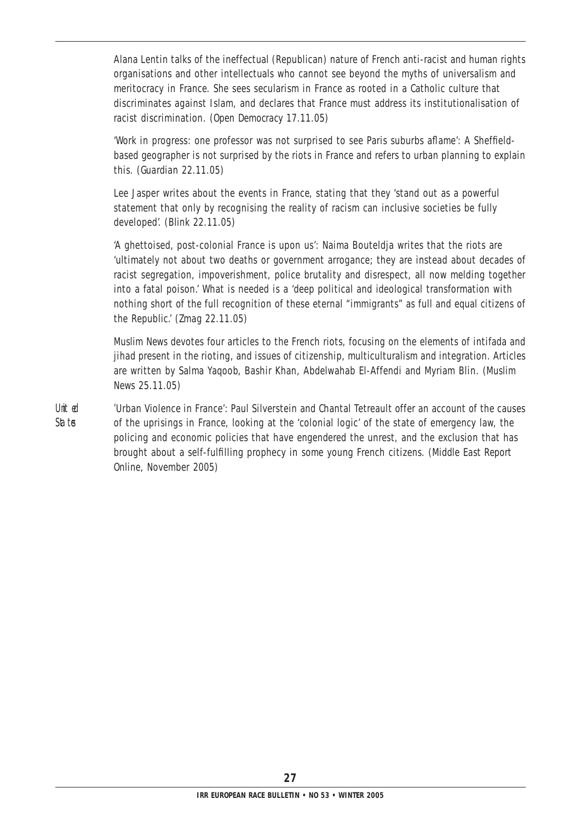Alana Lentin talks of the ineffectual (Republican) nature of French anti-racist and human rights organisations and other intellectuals who cannot see beyond the myths of universalism and meritocracy in France. She sees secularism in France as rooted in a Catholic culture that discriminates against Islam, and declares that France must address its institutionalisation of racist discrimination. (*Open Democracy* 17.11.05)

'Work in progress: one professor was not surprised to see Paris suburbs aflame': A Sheffieldbased geographer is not surprised by the riots in France and refers to urban planning to explain this. (*Guardian* 22.11.05)

Lee Jasper writes about the events in France, stating that they 'stand out as a powerful statement that only by recognising the reality of racism can inclusive societies be fully developed'. (*Blink* 22.11.05)

'A ghettoised, post-colonial France is upon us': Naima Bouteldja writes that the riots are 'ultimately not about two deaths or government arrogance; they are instead about decades of racist segregation, impoverishment, police brutality and disrespect, all now melding together into a fatal poison.' What is needed is a 'deep political and ideological transformation with nothing short of the full recognition of these eternal "immigrants" as full and equal citizens of the Republic.' (*Zmag* 22.11.05)

*Muslim News* devotes four articles to the French riots, focusing on the elements of intifada and jihad present in the rioting, and issues of citizenship, multiculturalism and integration. Articles are written by Salma Yaqoob, Bashir Khan, Abdelwahab El-Affendi and Myriam Blin. (*Muslim News* 25.11.05)

United Triban Violence in France': Paul Silverstein and Chantal Tetreault offer an account of the causes States of the uprisings in France, looking at the 'colonial logic' of the state of emergency law, the policing and economic policies that have engendered the unrest, and the exclusion that has brought about a self-fulfilling prophecy in some young French citizens. (*Middle East Report Online*, November 2005)